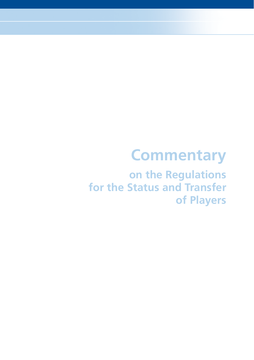# **Commentary**

 **on the Regulations for the Status and Transfer of Players**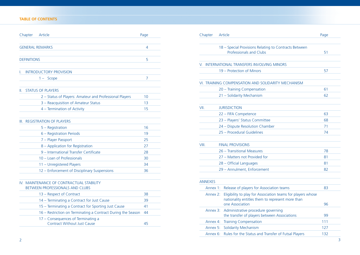#### **TABLE OF CONTENTS**

|     | Chapter<br>Article                                                          | Page |
|-----|-----------------------------------------------------------------------------|------|
|     |                                                                             |      |
|     | <b>GENERAL REMARKS</b>                                                      | 4    |
|     |                                                                             |      |
|     | <b>DEFINITIONS</b>                                                          | 5    |
|     |                                                                             |      |
| L   | <b>INTRODUCTORY PROVISION</b>                                               |      |
|     | $1 -$ Scope                                                                 | 7    |
| II. | <b>STATUS OF PLAYERS</b>                                                    |      |
|     | 2 – Status of Players: Amateur and Professional Players                     | 10   |
|     | 3 - Reacquisition of Amateur Status                                         | 13   |
|     | 4 - Termination of Activity                                                 | 15   |
|     | III. REGISTRATION OF PLAYERS                                                |      |
|     | 5 - Registration                                                            | 16   |
|     | 6 – Registration Periods                                                    | 19   |
|     | 7 - Player Passport                                                         | 25   |
|     | 8 - Application for Registration                                            | 27   |
|     | 9 - International Transfer Certificate                                      | 28   |
|     | 10 - Loan of Professionals                                                  | 30   |
|     | 11 - Unregistered Players                                                   | 34   |
|     | 12 - Enforcement of Disciplinary Suspensions                                | 36   |
|     |                                                                             |      |
|     | IV. MAINTENANCE OF CONTRACTUAL STABILITY<br>BETWEEN PROFESSIONALS AND CLUBS |      |
|     | 13 - Respect of Contract                                                    | 38   |
|     | 14 - Terminating a Contract for Just Cause                                  | 39   |
|     | 15 - Terminating a Contract for Sporting Just Cause                         | 41   |
|     | 16 – Restriction on Terminating a Contract During the Season                | 44   |
|     | 17 - Consequences of Terminating a<br><b>Contract Without Just Cause</b>    | 45   |

| Chapter            | Article                                                      | Page           | Chapter        | Article                                                                        | Page |
|--------------------|--------------------------------------------------------------|----------------|----------------|--------------------------------------------------------------------------------|------|
|                    | <b>GENERAL REMARKS</b>                                       | $\overline{4}$ |                | 18 - Special Provisions Relating to Contracts Between                          |      |
|                    |                                                              |                |                | Professionals and Clubs                                                        | 51   |
| <b>DEFINITIONS</b> |                                                              | 5              |                |                                                                                |      |
|                    |                                                              |                |                | V. INTERNATIONAL TRANSFERS INVOLVING MINORS                                    |      |
|                    | <b>INTRODUCTORY PROVISION</b>                                |                |                | 19 - Protection of Minors                                                      | 57   |
|                    | $1 -$ Scope                                                  | $\overline{7}$ |                |                                                                                |      |
|                    |                                                              |                |                | VI. TRAINING COMPENSATION AND SOLIDARITY MECHANISM                             |      |
|                    | <b>II. STATUS OF PLAYERS</b>                                 |                |                | 20 - Training Compensation                                                     | 61   |
|                    | 2 - Status of Players: Amateur and Professional Players      | 10             |                | 21 - Solidarity Mechanism                                                      | 62   |
|                    | 3 - Reacquisition of Amateur Status                          | 13             |                |                                                                                |      |
|                    | 4 - Termination of Activity                                  | 15             | VII.           | <b>JURISDICTION</b>                                                            |      |
|                    |                                                              |                |                | 22 - FIFA Competence                                                           | 63   |
|                    | III. REGISTRATION OF PLAYERS                                 |                |                | 23 - Players' Status Committee                                                 | 68   |
|                    | 5 - Registration                                             | 16             |                | 24 - Dispute Resolution Chamber                                                | 71   |
|                    | 6 - Registration Periods                                     | 19             |                | 25 - Procedural Guidelines                                                     | 74   |
|                    | 7 - Player Passport                                          | 25             |                |                                                                                |      |
|                    | 8 - Application for Registration                             | 27             | VIII.          | <b>FINAL PROVISIONS</b>                                                        |      |
|                    | 9 - International Transfer Certificate                       | 28             |                | 26 - Transitional Measures                                                     | 78   |
|                    | 10 - Loan of Professionals                                   | 30             |                | 27 - Matters not Provided for                                                  | 81   |
|                    | 11 - Unregistered Players                                    | 34             |                | 28 - Official Languages                                                        | 81   |
|                    | 12 - Enforcement of Disciplinary Suspensions                 | 36             |                | 29 - Annulment, Enforcement                                                    | 82   |
|                    | IV. MAINTENANCE OF CONTRACTUAL STABILITY                     |                | <b>ANNEXES</b> |                                                                                |      |
|                    | BETWEEN PROFESSIONALS AND CLUBS                              |                |                | Annex 1: Release of players for Association teams                              | 83   |
|                    | 13 - Respect of Contract                                     | 38             |                | Annex 2: Eligibility to play for Association teams for players whose           |      |
|                    | 14 - Terminating a Contract for Just Cause                   | 39             |                | nationality entitles them to represent more than                               |      |
|                    | 15 - Terminating a Contract for Sporting Just Cause          | 41             |                | one Association                                                                | 96   |
|                    | 16 - Restriction on Terminating a Contract During the Season | 44             |                | Annex 3: Administrative procedure governing                                    | 99   |
|                    | 17 - Consequences of Terminating a                           |                |                | the transfer of players between Associations<br>Annex 4: Training Compensation | 111  |
|                    | <b>Contract Without Just Cause</b>                           | 45             |                |                                                                                |      |
|                    |                                                              |                |                | Annex 5: Solidarity Mechanism                                                  | 127  |
|                    |                                                              |                |                | Annex 6: Rules for the Status and Transfer of Futsal Players                   | 132  |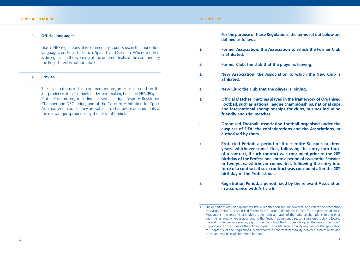#### **GENERAL REMARKS**

#### **DEFINITIONS1**

#### **1.** Official languages

Like all FIFA regulations, this commentary is published in the four official languages, i.e. English, French, Spanish and German. Whenever there is divergence in the wording of the different texts of the commentary, the English text is authoritative.

#### **2. Proviso**

 The explanations in this commentary are, inter alia, based on the jurisprudence of the competent decision-making bodies of FIFA (Players' Status Committee, including its single judge, Dispute Resolution Chamber and DRC judge) and of the Court of Arbitration for Sport. As a matter of course, they are subject to changes or amendments of the relevant jurisprudence by the relevant bodies.

 **For the purpose of these Regulations, the terms set out below are**  defined as follows:

- **1. Former Association: the Association to which the Former Club is affiliated.**
- **2. Former Club: the club that the player is leaving.**
- **3. New Association: the Association to which the New Club is affi liated.**
- **4. New Club: the club that the player is joining.**
- **5. Offi cial Matches: matches played in the framework of Organised Football, such as national league championships, national cups and international championships for clubs, but not including friendly and trial matches.**
- **6. Organised Football: association football organised under the auspices of FIFA, the confederations and the Associations, or authorised by them.**
- **7. Protected Period: a period of three entire Seasons or three years, whichever comes first, following the entry into force** of a contract, if such contract was concluded prior to the 28<sup>th</sup> **birthday of the Professional, or to a period of two entire Seasons**  or two years, whichever comes first, following the entry into **force of a contract, if such contract was concluded after the 28th birthday of the Professional.**
- **8.** Registration Period: a period fixed by the relevant Association **in accordance with Article 6.**

The definitions are self-explanatory. Particular attention should, however, be given to the description of season (point 9), since it is different to the "usual" definition. In fact, for the purpose of these Regulations, the season starts with the first official match of the national championship and ends with the last one, whereas according to the "usual" definition, a season starts on the day following the end of the previous season, e.g. for the majority of the European leagues, the season starts on 1 July and ends on 30 June of the following year. This difference is mainly required for the application of Chapter IV of the Regulations (Maintenance of contractual stability between professionals and clubs) and will be explained there in detail.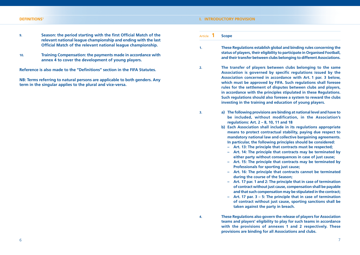#### **DEFINITIONS1**

#### **I. INTRODUCTORY PROVISION**

- **9.** Season: the period starting with the first Official Match of the **relevant national league championship and ending with the last Official Match of the relevant national league championship.**
- **10. Training Compensation: the payments made in accordance with annex 4 to cover the development of young players.**

**Reference is also made to the "Definitions" section in the FIFA Statutes.** 

**NB: Terms referring to natural persons are applicable to both genders. Any term in the singular applies to the plural and vice-versa.**

Article **1 Scope**

- **1. These Regulations establish global and binding rules concerning the status of players, their eligibility to participate in Organised Football, and their transfer between clubs belonging to different Associations.**
- **2. The transfer of players between clubs belonging to the same**  Association is governed by specific regulations issued by the **Association concerned in accordance with Art. 1 par. 3 below, which must be approved by FIFA. Such regulations shall foresee rules for the settlement of disputes between clubs and players, in accordance with the principles stipulated in these Regulations. Such regulations should also foresee a system to reward the clubs investing in the training and education of young players.**
- 
- **3. a) The following provisions are binding at national level and have to be included, without modification, in the Association's regulations: Art. 2 – 8, 10, 11 and 18**
	- **b) Each Association shall include in its regulations appropriate means to protect contractual stability, paying due respect to mandatory national law and collective bargaining agreements. In particular, the following principles should be considered:**
		- **Art. 13: The principle that contracts must be respected;**
		- **Art. 14: The principle that contracts may be terminated by either party without consequences in case of just cause;**
		- **Art. 15: The principle that contracts may be terminated by Professionals for sporting just cause;**
		- **Art. 16: The principle that contracts cannot be terminated during the course of the Season;**
		- **Art. 17 par. 1 and 2: The principle that in case of termination of contract without just cause, compensation shall be payable and that such compensation may be stipulated in the contract;**
		- **Art. 17 par. 3 5: The principle that in case of termination of contract without just cause, sporting sanctions shall be taken against the party in breach.**
- **4. These Regulations also govern the release of players for Association teams and players' eligibility to play for such teams in accordance with the provisions of annexes 1 and 2 respectively. These provisions are binding for all Associations and clubs.**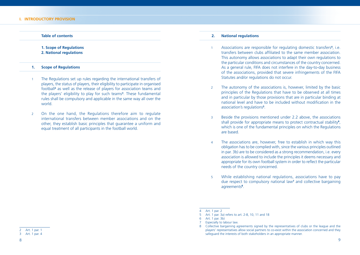#### **Table of contents**

#### **1. Scope of Regulations 2. National regulations**

#### **1. Scope of Regulations**

- 1 The Regulations set up rules regarding the international transfers of players, the status of players, their eligibility to participate in organised football**<sup>2</sup>** as well as the release of players for association teams and the players' eligibility to play for such teams**<sup>3</sup>** . These fundamental rules shall be compulsory and applicable in the same way all over the world.
- 2 On the one hand, the Regulations therefore aim to regulate international transfers between member associations and on the other, they establish basic principles that guarantee a uniform and equal treatment of all participants in the football world.

#### **2. National regulations**

- 1 Associations are responsible for regulating domestic transfers**<sup>4</sup>** , i.e. transfers between clubs affiliated to the same member association. This autonomy allows associations to adapt their own regulations to the particular conditions and circumstances of the country concerned. As a general rule, FIFA does not interfere in the day-to-day business of the associations, provided that severe infringements of the FIFA Statutes and/or regulations do not occur.
- 2 The autonomy of the associations is, however, limited by the basic principles of the Regulations that have to be observed at all times and in particular by those provisions that are in particular binding at national level and have to be included without modification in the association's regulations**<sup>5</sup>** .
- 3 Beside the provisions mentioned under 2.2 above, the associations shall provide for appropriate means to protect contractual stability**<sup>6</sup>** , which is one of the fundamental principles on which the Regulations are based.
- 4 The associations are, however, free to establish in which way this obligation has to be complied with, since the various principles outlined in par. 3b) are to be considered as a strong recommendation, i.e. every association is allowed to include the principles it deems necessary and appropriate for its own football system in order to reflect the particular needs of the country concerned.
- 5 While establishing national regulations, associations have to pay due respect to compulsory national law**<sup>7</sup>** and collective bargaining agreements**<sup>8</sup>** .

Art $1$  par. 2

<sup>5</sup> Art. 1 par. 3a) refers to art. 2-8, 10, 11 and 18

<sup>6</sup> Art. 1 par. 3b)

**Especially to labour law.** 

<sup>8</sup> Collective bargaining agreements signed by the representatives of clubs or the league and the players' representatives allow social partners to co-exist within the association concerned and they safeguard the interests of both stakeholders in an appropriate manner.

<sup>2</sup> Art. 1 par. 1

<sup>3</sup> Art. 1 par. 4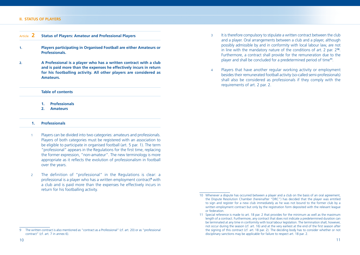#### **II. STATUS OF PLAYERS**

| Article 2 | <b>Status of Players: Amateur and Professional Players</b> |
|-----------|------------------------------------------------------------|
|           |                                                            |

- **1. Players participating in Organised Football are either Amateurs or Professionals.**
- **2. A Professional is a player who has a written contract with a club and is paid more than the expenses he effectively incurs in return for his footballing activity. All other players are considered as Amateurs.**

#### **Table of contents**

- **1. Professionals**
- **2. Amateurs**

#### **1. Professionals**

- 1 Players can be divided into two categories: amateurs and professionals. Players of both categories must be registered with an association to be eligible to participate in organised football (art. 5 par. 1). The term "professional" appears in the Regulations for the first time, replacing the former expression, "non-amateur". The new terminology is more appropriate as it reflects the evolution of professionalism in football over the years.
- 2 The definition of "professional" in the Regulations is clear: a professional is a player who has a written employment contract**<sup>9</sup>** with a club and is paid more than the expenses he effectively incurs in return for his footballing activity.
- 3 It is therefore compulsory to stipulate a written contract between the club and a player. Oral arrangements between a club and a player, although possibly admissible by and in conformity with local labour law, are not in line with the mandatory nature of the conditions of art. 2 par. 2**<sup>10</sup>**. Furthermore, a contract shall provide for the remuneration due to the player and shall be concluded for a predetermined period of time**<sup>11</sup>**.
- 4 Players that have another regular working activity or employment besides their remunerated football activity (so-called semi-professionals) shall also be considered as professionals if they comply with the requirements of art. 2 par. 2.

<sup>9</sup> The written contract is also mentioned as "contract as a Professional" (cf. art. 20) or as "professional contract" (cf. art. 7 in annex 6).

<sup>10</sup> Whenever a dispute has occurred between a player and a club on the basis of an oral agreement, the Dispute Resolution Chamber (hereinafter "DRC") has decided that the player was entitled to sign and register for a new club immediately as he was not bound to the former club by a written employment contract but only by the registration form deposited with the relevant league or federation.

<sup>11</sup> Special reference is made to art. 18 par. 2 that provides for the minimum as well as the maximum length of a contract. Furthermore, any contract that does not indicate a predetermined duration can be terminated at any time in conformity with local labour legislation. The termination shall, however, not occur during the season (cf. art. 16) and at the very earliest at the end of the first season after the signing of this contract (cf. art. 18 par. 2). The deciding body has to consider whether or not disciplinary sanctions may be applicable for failure to respect art. 18 par. 2.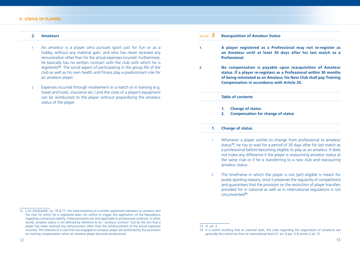#### **II. STATUS OF PLAYERS**

#### **2. Amateurs**

- An amateur is a player who pursues sport just for fun or as a hobby, without any material gain, and who has never received any remuneration other than for the actual expenses incurred. Furthermore, he basically has no written contract with the club with which he is registered**<sup>12</sup>**. The social aspect of participating in the group life of the club as well as his own health and fitness play a predominant role for an amateur player.
- 2 Expenses incurred through involvement in a match or in training (e.g. travel and hotel, insurance etc.) and the costs of a player's equipment can be reimbursed to the player without jeopardising the amateur status of the player.

## Article **3 Reacquisition of Amateur Status 1. A player registered as a Professional may not re-register as an Amateur until at least 30 days after his last match as a Professional. 2. No compensation is payable upon reacquisition of Amateur status. If a player re-registers as a Professional within 30 months of being reinstated as an Amateur, his New Club shall pay Training Compensation in accordance with Article 20. Table of contents 1. Change of status 2. Compensation for change of status 1. Change of status** 1 Whenever a player wishes to change from professional to amateur status**<sup>13</sup>**, he has to wait for a period of 30 days after his last match as a professional before becoming eligible to play as an amateur. It does not make any difference if the player is reassuming amateur status at

2 The timeframe in which the player is not (yet) eligible is meant for purely sporting reasons, since it preserves the regularity of competitions and guarantees that the provision on the restriction of player transfers provided for in national as well as in international regulations is not circumvented**<sup>14</sup>**.

the same club or if he is transferring to a new club and reacquiring

amateur status.

<sup>12</sup> CAS 2004/A/691 no. 76 & 77: the mere existence of a written agreement between an amateur and the club for which he is registered does not suffice to trigger the application of the Regulations regarding contractual stability. These provisions are only applicable to professional contracts. In other words, amateur status is not defined by reference to an "amateur contract" but by the fact that a player has never received any remuneration other than the reimbursement of the actual expenses incurred. The interests of a club that has engaged an amateur player are protected by the provisions on training compensation when an amateur player becomes professional.

<sup>13</sup> cf. art. 2

<sup>14</sup> It is worth recalling that at national level, the rules regarding the registration of amateurs are generally less restrictive than at international level (cf. art. 6 par. 4 & annex 3 art. 3)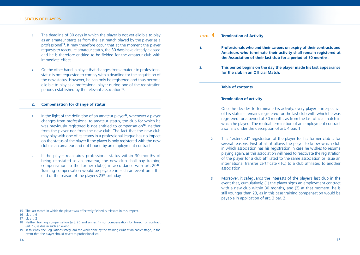- 3 The deadline of 30 days in which the player is not yet eligible to play as an amateur starts as from the last match played by the player as a professional**<sup>15</sup>**. It may therefore occur that at the moment the player requests to reacquire amateur status, the 30 days have already elapsed and he is therefore entitled to be fielded for the amateur club with immediate effect.
- 4 On the other hand, a player that changes from amateur to professional status is not requested to comply with a deadline for the acquisition of the new status. However, he can only be registered and thus become eligible to play as a professional player during one of the registration periods established by the relevant association**<sup>16</sup>**.

#### **2. Compensation for change of status**

- 1 In the light of the definition of an amateur player<sup>17</sup>, whenever a player changes from professional to amateur status, the club for which he was previously registered is not entitled to compensation**<sup>18</sup>**, neither from the player nor from the new club. The fact that the new club may play with one of its teams in a professional league has no impact on the status of the player if the player is only registered with the new club as an amateur and not bound by an employment contract.
- 2 If the player reacquires professional status within 30 months of being reinstated as an amateur, the new club shall pay training compensation to the former club(s) in accordance with art. 20**<sup>19</sup>**. Training compensation would be payable in such an event until the end of the season of the player's 23rd birthday.

| Article $4$ | <b>Termination of Activity</b>                                                                                                                                                                            |
|-------------|-----------------------------------------------------------------------------------------------------------------------------------------------------------------------------------------------------------|
| 1.          | Professionals who end their careers on expiry of their contracts and<br>Amateurs who terminate their activity shall remain registered at<br>the Association of their last club for a period of 30 months. |
| 2.          | This period begins on the day the player made his last appearance<br>for the club in an Official Match.                                                                                                   |
|             | <b>Table of contents</b>                                                                                                                                                                                  |
|             | <b>Termination of activity</b>                                                                                                                                                                            |

- 1 Once he decides to terminate his activity, every player irrespective of his status – remains registered for the last club with which he was registered for a period of 30 months as from the last official match in which he played. The mutual termination of an employment contract also falls under the description of art. 4 par. 1.
- 2 This "extended" registration of the player for his former club is for several reasons. First of all, it allows the player to know which club in which association has his registration in case he wishes to resume playing again, as this association will need to reactivate the registration of the player for a club affiliated to the same association or issue an international transfer certificate (ITC) to a club affiliated to another association.
- 3 Moreover, it safeguards the interests of the player's last club in the event that, cumulatively, (1) the player signs an employment contract with a new club within 30 months, and (2) at that moment, he is still younger than 23, as in this case training compensation would be payable in application of art. 3 par. 2.

<sup>15</sup> The last match in which the player was effectively fielded is relevant in this respect.

<sup>16</sup> cf. art. 6

<sup>17</sup> cf. art. 2

<sup>18</sup> Neither training compensation (art. 20 and annex 4) nor compensation for breach of contract (art. 17) is due in such an event.

<sup>19</sup> In this way, the Regulations safeguard the work done by the training clubs at an earlier stage, in the event that the player should revert to professionalism.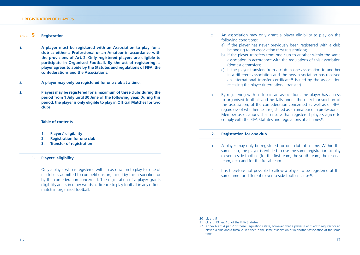#### **III. REGISTRATION OF PLAYERS**

| Article |  | <b>Registration</b> |  |  |  |
|---------|--|---------------------|--|--|--|
|---------|--|---------------------|--|--|--|

- **1. A player must be registered with an Association to play for a club as either a Professional or an Amateur in accordance with the provisions of Art. 2. Only registered players are eligible to participate in Organised Football. By the act of registering, a player agrees to abide by the Statutes and regulations of FIFA, the confederations and the Associations.**
- **2. A player may only be registered for one club at a time.**
- **3. Players may be registered for a maximum of three clubs during the period from 1 July until 30 June of the following year. During this period, the player is only eligible to play in Official Matches for two clubs.**

#### **Table of contents**

- **1. Players' eligibility**
- **2. Registration for one club**
- **3. Transfer of registration**

#### **1. Players' eligibility**

1 Only a player who is registered with an association to play for one of its clubs is admitted to competitions organised by this association or by the confederation concerned. The registration of a player grants eligibility and is in other words his licence to play football in any official match in organised football.

- 2 An association may only grant a player eligibility to play on the following conditions:
	- a) If the player has never previously been registered with a club belonging to an association (first registration);
	- b) If the player transfers from one club to another within the same association in accordance with the regulations of this association (domestic transfer);
	- c) If the player transfers from a club in one association to another in a different association and the new association has received an international transfer certificate<sup>20</sup> issued by the association releasing the player (international transfer).
- 3 By registering with a club in an association, the player has access to organised football and he falls under the direct jurisdiction of this association, of the confederation concerned as well as of FIFA, regardless of whether he is registered as an amateur or a professional. Member associations shall ensure that registered players agree to comply with the FIFA Statutes and regulations at all times**<sup>21</sup>**.

#### **2. Registration for one club**

- 1 A player may only be registered for one club at a time. Within the same club, the player is entitled to use the same registration to play eleven-a-side football (for the first team, the youth team, the reserve team, etc.) and for the futsal team.
- 2 It is therefore not possible to allow a player to be registered at the same time for different eleven-a-side football clubs**<sup>22</sup>**.

<sup>20</sup> cf. art. 9

<sup>21</sup> cf. art. 13 par. 1d) of the FIFA Statutes

<sup>22</sup> Annex 6 art. 4 par. 2 of these Regulations state, however, that a player is entitled to register for an eleven-a-side and a futsal club either in the same association or in another association at the same time.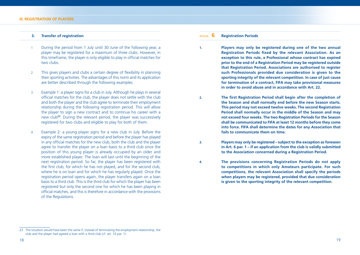#### **3. Transfer of registration**

- 1 During the period from 1 July until 30 June of the following year, a player may be registered for a maximum of three clubs. However, in this timeframe, the player is only eligible to play in official matches for two clubs.
- 2 This gives players and clubs a certain degree of flexibility in planning their sporting activities. The advantages of this norm and its application are better described through the following examples.
- 3 Example 1: a player signs for a club in July. Although he plays in several official matches for the club, the player does not settle with the club and both the player and the club agree to terminate their employment relationship during the following registration period. This will allow the player to sign a new contract and to continue his career with a new club**<sup>23</sup>**. During the relevant period, the player was successively registered for two clubs and eligible to play for both of them.
- 4 Example 2: a young player signs for a new club in July. Before the expiry of the same registration period and before the player has played in any official matches for the new club, both the club and the player agree to transfer the player on a loan basis to a third club since the position of this young player is already occupied by an older and more established player. The loan will last until the beginning of the next registration period. So far, the player has been registered with the first club, for which he has not played, and for the second club, where he is on loan and for which he has regularly played. Once the registration period opens again, the player transfers again on a loan basis to a third club. This is the third club for which the player has been registered but only the second one for which he has been playing in official matches, and this is therefore in accordance with the provisions of the Regulations.

Article **6 Registration Periods**

- **1. Players may only be registered during one of the two annual Registration Periods fixed by the relevant Association. As an exception to this rule, a Professional whose contract has expired prior to the end of a Registration Period may be registered outside that Registration Period. Associations are authorised to register such Professionals provided due consideration is given to the sporting integrity of the relevant competition. In case of just cause for termination of a contract, FIFA may take provisional measures in order to avoid abuse and in accordance with Art. 22.**
- **2.** The first Registration Period shall begin after the completion of **the Season and shall normally end before the new Season starts. This period may not exceed twelve weeks. The second Registration Period shall normally occur in the middle of the Season and may not exceed four weeks. The two Registration Periods for the Season shall be communicated to FIFA at least 12 months before they come into force. FIFA shall determine the dates for any Association that fails to communicate them on time.**
- **3. Players may only be registered subject to the exception as foreseen in Art. 6 par. 1 – if an application from the club is validly submitted to the Association concerned during a Registration Period.**
- **4. The provisions concerning Registration Periods do not apply to competitions in which only Amateurs participate. For such competitions, the relevant Association shall specify the periods when players may be registered, provided that due consideration is given to the sporting integrity of the relevant competition.**

<sup>23</sup> The situation would have been the same if, instead of terminating the employment relationship, the club and the player had agreed a loan with a third club (cf. art. 10 par. 1).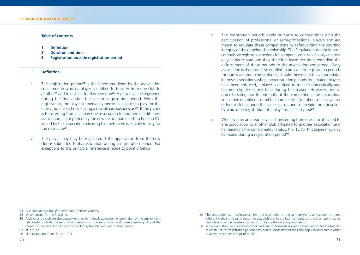#### **Table of contents**

- 1. **Definition**
- **2. Duration and time**
- **3. Registration outside registration period**

#### 1. **Definition**

- The registration period<sup>24</sup> is the timeframe fixed by the association concerned in which a player is entitled to transfer from one club to another**<sup>25</sup>** and to register for this new club**<sup>26</sup>**. A player can be registered during the first and/or the second registration period. With the registration, the player immediately becomes eligible to play for the new club, unless he is serving a disciplinary suspension**<sup>27</sup>**. If the player is transferring from a club in one association to another in a different association, he or preferably the new association needs to hold an ITC issued by the association releasing him before he is eligible to play for the new club**<sup>28</sup>**.
- 2 The player may only be registered if the application from the new club is submitted to its association during a registration period. For exceptions to this principle, reference is made to point 3 below.
- 3 The registration periods apply primarily to competitions with the participation of professional or semi-professional players and are meant to regulate these competitions by safeguarding the sporting integrity of the ongoing championship. The Regulations do not impose compulsory registration periods for competitions in which only amateur players participate and they therefore leave decisions regarding the enforcement of these periods to the association concerned. Every association is therefore also entitled to provide for registration periods for purely amateur competitions, should they deem this appropriate. In those associations where no registration periods for amateur players have been enforced, a player is entitled to transfer domestically and become eligible at any time during the season. However, and in order to safeguard the integrity of the competition, the association concerned is entitled to limit the number of registrations of a player for different clubs during the same season and to provide for a deadline by which the registration of a player is still accepted**<sup>29</sup>**.
- 4 Whenever an amateur player is transferring from one club affiliated to one association to another club affiliated to another association and he maintains the same amateur status, the ITC for this player may only be issued during a registration period**<sup>30</sup>**.

26 A player and a club are also basically entitled to mutually agree on the termination of the employment relationship outside the registration periods, but the registration and consequent eligibility of the player for the new club can only occur during the following registration period.

<sup>24</sup> Also known as a transfer period or a transfer window.

<sup>25</sup> Or to register for the first time.

<sup>27</sup> cf. art. 12.

<sup>28</sup> cf. explanation of art. 5, no. 1.2c).

<sup>29</sup> The association can, for instance, limit the registration of the same player to a maximum of three different clubs in the same season or establish that in the last five rounds of the championship, no new players can be registered so as not to falsify the ongoing competition.

<sup>30</sup> In the event that the association concerned has not foreseen any registration periods for the transfer of amateurs, the registration periods provided for professionals shall also apply to amateurs in order to allow the proper receipt of the ITC.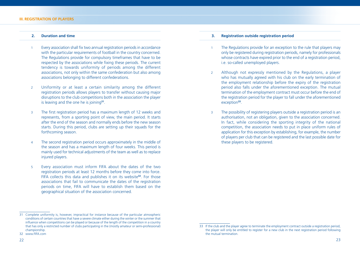#### **2. Duration and time**

- 1 Every association shall fix two annual registration periods in accordance with the particular requirements of football in the country concerned. The Regulations provide for compulsory timeframes that have to be respected by the associations while fixing these periods. The current tendency is towards uniformity of periods among the different associations, not only within the same confederation but also among associations belonging to different confederations.
- 2 Uniformity or at least a certain similarity among the different registration periods allows players to transfer without causing major disruptions to the club competitions both in the association the player is leaving and the one he is joining**<sup>31</sup>**.
- 3 The first registration period has a maximum length of 12 weeks and represents, from a sporting point of view, the main period. It starts after the end of the season and normally ends before the new season starts. During this period, clubs are setting up their squads for the forthcoming season.
- 4 The second registration period occurs approximately in the middle of the season and has a maximum length of four weeks. This period is mainly used for technical adjustments of the team as well as to replace injured players.
- 5 Every association must inform FIFA about the dates of the two registration periods at least 12 months before they come into force. FIFA collects this data and publishes it on its website**<sup>32</sup>**. For those associations that fail to communicate the dates of the registration periods on time, FIFA will have to establish them based on the geographical situation of the association concerned.

#### **3. Registration outside registration period**

- 1 The Regulations provide for an exception to the rule that players may only be registered during registration periods, namely for professionals whose contracts have expired prior to the end of a registration period, i.e. so-called unemployed players.
- 2 Although not expressly mentioned by the Regulations, a player who has mutually agreed with his club on the early termination of the employment relationship before the expiry of the registration period also falls under the aforementioned exception. The mutual termination of the employment contract must occur before the end of the registration period for the player to fall under the aforementioned exception**<sup>33</sup>**.
- 3 The possibility of registering players outside a registration period is an authorisation, not an obligation, given to the association concerned. In fact, while considering the sporting integrity of the national competition, the association needs to put in place uniform rules of application for this exception by establishing, for example, the number of players per club that can be registered and the last possible date for these players to be registered.

<sup>31</sup> Complete uniformity is, however, impractical for instance because of the particular atmospheric conditions of certain countries that have a severe climate either during the winter or the summer that influence when competitions can be played or because of the length of the competition in a country that has only a restricted number of clubs participating in the (mostly amateur or semi-professional) championship.

<sup>32</sup> WWW.FIFA.com

<sup>33</sup> If the club and the player agree to terminate the employment contract outside a registration period, the player will only be entitled to register for a new club in the next registration period following the mutual termination.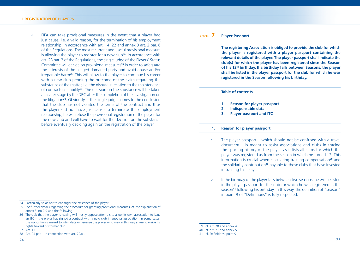4 FIFA can take provisional measures in the event that a player had just cause, i.e. a valid reason, for the termination of his employment relationship, in accordance with art. 14, 22 and annex 3 art. 2 par. 6 of the Regulations. The most recurrent and useful provisional measure is allowing the player to register for a new club**<sup>34</sup>**. In accordance with art. 23 par. 3 of the Regulations, the single judge of the Players' Status Committee will decide on provisional measures**<sup>35</sup>** in order to safeguard the interests of the alleged damaged party and avoid abuse and/or irreparable harm**<sup>36</sup>**. This will allow to the player to continue his career with a new club pending the outcome of the claim regarding the substance of the matter, i.e. the dispute in relation to the maintenance of contractual stability**<sup>37</sup>**. The decision on the substance will be taken at a later stage by the DRC after the completion of the investigation on the litigation**<sup>38</sup>**. Obviously, if the single judge comes to the conclusion that the club has not violated the terms of the contract and thus the player did not have just cause to terminate the employment relationship, he will refuse the provisional registration of the player for the new club and will have to wait for the decision on the substance before eventually deciding again on the registration of the player.

#### Article **7 Player Passport**

 **The registering Association is obliged to provide the club for which the player is registered with a player passport containing the relevant details of the player. The player passport shall indicate the club(s) for which the player has been registered since the Season of his 12th birthday. If a birthday falls between Seasons, the player shall be listed in the player passport for the club for which he was registered in the Season following his birthday.**

#### **Table of contents**

- **1. Reason for player passport**
- **2. Indispensable data**
- **3. Player passport and ITC**

#### **1. Reason for player passport**

- 1 The player passport which should not be confused with a travel document – is meant to assist associations and clubs in tracing the sporting history of the player, as it lists all clubs for which the player was registered as from the season in which he turned 12. This information is crucial when calculating training compensation**<sup>39</sup>** and the solidarity contribution**<sup>40</sup>** payable to those clubs that have invested in training this player.
- 2 If the birthday of the player falls between two seasons, he will be listed in the player passport for the club for which he was registered in the season<sup>41</sup> following his birthday. In this way, the definition of "season" in point 9 of "Definitions" is fully respected.

<sup>34</sup> Particularly so as not to endanger the existence of the player.

<sup>35</sup> For further details regarding the procedure for granting provisional measures, cf. the explanation of annex 3, no 2.9 and the following.

<sup>36</sup> The club that the player is leaving will mostly oppose attempts to allow its own association to issue an ITC if the player has signed a contract with a new club in another association. In some cases, this opposition is meant to intimidate or penalise the player who may in this way agree to waive his rights toward his former club.

<sup>37</sup> Art. 13–18

<sup>38</sup> Art. 24 par. 1 in connection with art. 22a) .

<sup>39</sup> cf. art. 20 and annex 4

<sup>40</sup> cf. art. 21 and annex 5

<sup>41</sup> cf. Definitions, point 9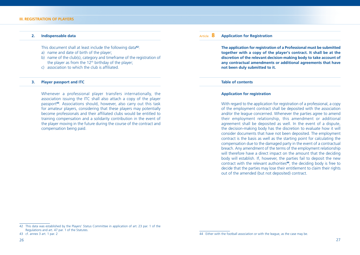#### **2. Indispensable data**

This document shall at least include the following data**<sup>42</sup>**:

- a) name and date of birth of the player;
- b) name of the club(s), category and timeframe of the registration of the player as from the  $12<sup>th</sup>$  birthday of the player;
- $\epsilon$ ) association to which the club is affiliated.

#### **3. Player passport and ITC**

 Whenever a professional player transfers internationally, the association issuing the ITC shall also attach a copy of the player passport**<sup>43</sup>**. Associations should, however, also carry out this task for amateur players, considering that these players may potentially become professionals and their affiliated clubs would be entitled to training compensation and a solidarity contribution in the event of the player moving in the future during the course of the contract and compensation being paid.

#### Article **8 Application for Registration**

 **The application for registration of a Professional must be submitted together with a copy of the player's contract. It shall be at the discretion of the relevant decision-making body to take account of any contractual amendments or additional agreements that have not been duly submitted to it.**

#### **Table of contents**

#### **Application for registration**

 With regard to the application for registration of a professional, a copy of the employment contract shall be deposited with the association and/or the league concerned. Whenever the parties agree to amend their employment relationship, this amendment or additional agreement shall be deposited as well. In the event of a dispute, the decision-making body has the discretion to evaluate how it will consider documents that have not been deposited. The employment contract is the basis as well as the starting point for calculating the compensation due to the damaged party in the event of a contractual breach. Any amendment of the terms of the employment relationship will therefore have a direct impact on the amount that the deciding body will establish. If, however, the parties fail to deposit the new contract with the relevant authorities**<sup>44</sup>**, the deciding body is free to decide that the parties may lose their entitlement to claim their rights out of the amended (but not deposited) contract.

<sup>42</sup> This data was established by the Players' Status Committee in application of art. 23 par. 1 of the Regulations and art. 47 par. 1 of the Statutes.

<sup>43</sup> cf. annex 3 art. 1 par. 2

<sup>44</sup> Either with the football association or with the league, as the case may be.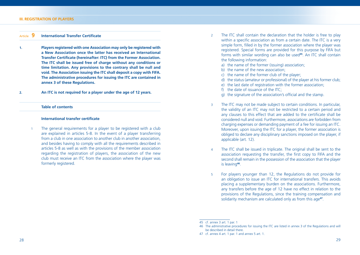#### Article **9** International Transfer Certificate

- **1. Players registered with one Association may only be registered with a New Association once the latter has received an International Transfer Certificate (hereinafter: ITC) from the Former Association. The ITC shall be issued free of charge without any conditions or time limitation. Any provisions to the contrary shall be null and void. The Association issuing the ITC shall deposit a copy with FIFA. The administrative procedures for issuing the ITC are contained in annex 3 of these Regulations.**
- **2. An ITC is not required for a player under the age of 12 years.**

#### **Table of contents**

#### **International transfer certificate**

1 The general requirements for a player to be registered with a club are explained in articles 5-8. In the event of a player transferring from a club in one association to another club in another association, and besides having to comply with all the requirements described in articles 5-8 as well as with the provisions of the member association regarding the registration of players, the association of the new club must receive an ITC from the association where the player was formerly registered.

- 2 The ITC shall contain the declaration that the holder is free to play within a specific association as from a certain date. The ITC is a very simple form, filled in by the former association where the player was registered. Special forms are provided for this purpose by FIFA but forms with similar wording can also be used**<sup>45</sup>**. An ITC shall contain the following information:
	- a) the name of the former (issuing) association;
	- b) the name of the new association;
	- c) the name of the former club of the player;
	- d) the status (amateur or professional) of the player at his former club;
	- e) the last date of registration with the former association;
	- f) the date of issuance of the ITC;
	- g) the signature of the association's official and the stamp.
- 3 The ITC may not be made subject to certain conditions. In particular, the validity of an ITC may not be restricted to a certain period and any clauses to this effect that are added to the certificate shall be considered null and void. Furthermore, associations are forbidden from charging expenses or demanding payment of a fee for issuing an ITC. Moreover, upon issuing the ITC for a player, the former association is obliged to declare any disciplinary sanctions imposed on the player, if applicable (art. 12).
- 4 The ITC shall be issued in triplicate. The original shall be sent to the association requesting the transfer, the first copy to FIFA and the second shall remain in the possession of the association that the player is leaving**<sup>46</sup>**.
- 5 For players younger than 12, the Regulations do not provide for an obligation to issue an ITC for international transfers. This avoids placing a supplementary burden on the associations. Furthermore, any transfers before the age of 12 have no effect in relation to the provisions of the Regulations, since the training compensation and solidarity mechanism are calculated only as from this age**<sup>47</sup>**.

<sup>45</sup> cf. annex 3 art. 1 par. 1

<sup>46</sup> The administrative procedures for issuing the ITC are listed in annex 3 of the Regulations and will be described in detail there.

<sup>47</sup> cf. annex 4 art. 1 par. 1 and annex 5 art. 1.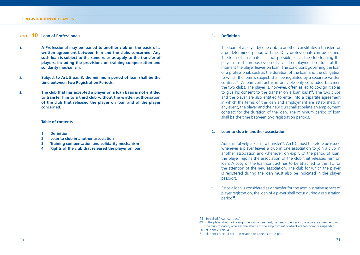#### **III. REGISTRATION OF PLAYERS**

#### Article **10 Loan of Professionals**

- **1. A Professional may be loaned to another club on the basis of a written agreement between him and the clubs concerned. Any such loan is subject to the same rules as apply to the transfer of players, including the provisions on training compensation and solidarity mechanism.**
- **2. Subject to Art. 5 par. 3, the minimum period of loan shall be the time between two Registration Periods.**
- **3. The club that has accepted a player on a loan basis is not entitled to transfer him to a third club without the written authorisation of the club that released the player on loan and of the player concerned.**

#### **Table of contents**

- **1. Defi nition**
- **2. Loan to club in another association**
- **3. Training compensation and solidarity mechanism**
- **4. Rights of the club that released the player on loan**

#### 1. **Definition**

 The loan of a player by one club to another constitutes a transfer for a predetermined period of time. Only professionals can be loaned. The loan of an amateur is not possible, since the club loaning the player must be in possession of a valid employment contract at the moment the player leaves on loan. The conditions governing the loan of a professional, such as the duration of the loan and the obligation to which the loan is subject, shall be regulated by a separate written contract**<sup>48</sup>**. A loan contract is in principle only concluded between the two clubs. The player is, however, often asked to co-sign it so as to give his consent to the transfer on a loan basis**<sup>49</sup>**. The two clubs and the player are also entitled to enter into a tripartite agreement in which the terms of the loan and employment are established. In any event, the player and the new club shall stipulate an employment contract for the duration of the loan. The minimum period of loan shall be the time between two registration periods.

#### **2. Loan to club in another association**

- 1 Administratively, a loan is a transfer**<sup>50</sup>**. An ITC must therefore be issued whenever a player leaves a club in one association to join a club in another association and whenever, on expiry of the period of loan, the player rejoins the association of the club that released him on loan. A copy of the loan contract has to be attached to the ITC for the attention of the new association. The club for which the player is registered during the loan must also be indicated in the player passport.
- 2 Since a loan is considered as a transfer for the administrative aspect of player registration, the loan of a player shall occur during a registration period**<sup>51</sup>**.

<sup>48</sup> So-called "loan contract".

<sup>49</sup> If the player does not co-sign the loan agreement, he needs to enter into a separate agreement with the club of origin, whereas the effects of the employment contract are temporarily suspended.

<sup>50</sup> cf. annex 3 art. 4

<sup>51</sup> cf. annex 3 art. 4 par. 1 in relation to annex 3 art. 2 par. 1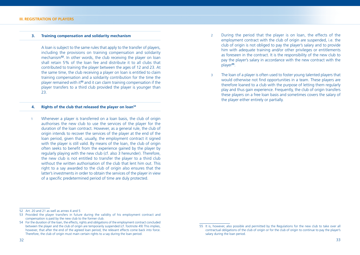#### **3. Training compensation and solidarity mechanism**

 A loan is subject to the same rules that apply to the transfer of players, including the provisions on training compensation and solidarity mechanism**<sup>52</sup>**. In other words, the club receiving the player on loan shall retain 5% of the loan fee and distribute it to all clubs that contributed to training the player between the ages of 12 and 23. At the same time, the club receiving a player on loan is entitled to claim training compensation and a solidarity contribution for the time the player remained with it**<sup>53</sup>** and it can claim training compensation if the player transfers to a third club provided the player is younger than 23.

#### **4. Rights of the club that released the player on loan54**

1 Whenever a player is transferred on a loan basis, the club of origin authorises the new club to use the services of the player for the duration of the loan contract. However, as a general rule, the club of origin intends to recover the services of the player at the end of the loan period, given that, usually, the employment contract it signed with the player is still valid. By means of the loan, the club of origin often seeks to benefit from the experience gained by the player by regularly playing with the new club (cf. also 3 hereunder). Therefore, the new club is not entitled to transfer the player to a third club without the written authorisation of the club that lent him out. This right to a say awarded to the club of origin also ensures that the latter's investments in order to obtain the services of the player in view of a specific predetermined period of time are duly protected.

- 2 During the period that the player is on loan, the effects of the employment contract with the club of origin are suspended, i.e. the club of origin is not obliged to pay the player's salary and to provide him with adequate training and/or other privileges or entitlements as foreseen in the contract. It is the responsibility of the new club to pay the player's salary in accordance with the new contract with the player**<sup>55</sup>**.
- 3 The loan of a player is often used to foster young talented players that would otherwise not find opportunities in a team. These players are therefore loaned to a club with the purpose of letting them regularly play and thus gain experience. Frequently, the club of origin transfers these players on a free loan basis and sometimes covers the salary of the player either entirely or partially.

- 53 Provided the player transfers in future during the validity of his employment contract and compensation is paid by the new club to the former club.
- 54 For the duration of the loan, the effects, rights and obligations of the employment contract concluded between the player and the club of origin are temporarily suspended (cf. footnote 49) This implies, however, that after the end of the agreed loan period, the relevant effects come back into force. Therefore, the club of origin must main certain rights to a say during the loan period.

<sup>52</sup> Art. 20 and 21 as well as annex 4 and 5

<sup>55</sup> It is, however, also possible and permitted by the Regulations for the new club to take over all contractual obligations of the club of origin or for the club of origin to continue to pay the player's salary during the loan period.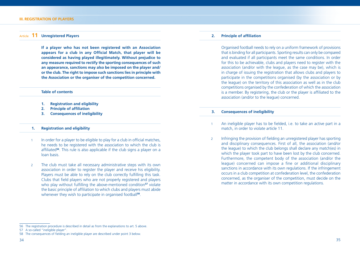#### Article **11 Unregistered Players**

 **If a player who has not been registered with an Association**  appears for a club in any Official Match, that player will be **considered as having played illegitimately. Without prejudice to any measure required to rectify the sporting consequences of such an appearance, sanctions may also be imposed on the player and/ or the club. The right to impose such sanctions lies in principle with the Association or the organiser of the competition concerned.**

#### **Table of contents**

- **1. Registration and eligibility**
- **2.** Principle of affiliation
- **3. Consequences of ineligibility**

#### **1. Registration and eligibility**

- 1 In order for a player to be eligible to play for a club in official matches, he needs to be registered with the association to which the club is affiliated<sup>56</sup>. This rule is also applicable if the club signs a player on a loan basis.
- 2 The club must take all necessary administrative steps with its own association in order to register the player and receive his eligibility. Players must be able to rely on the club correctly fulfilling this task. Clubs that field players who are not properly registered and players who play without fulfilling the above-mentioned condition<sup>57</sup> violate the basic principle of affiliation to which clubs and players must abide whenever they wish to participate in organised football<sup>58</sup>.

#### **2.** Principle of affiliation

 Organised football needs to rely on a uniform framework of provisions that is binding for all participants. Sporting results can only be compared and evaluated if all participants meet the same conditions. In order for this to be achievable, clubs and players need to register with the association (and/or with the league, as the case may be), which is in charge of issuing the registration that allows clubs and players to participate in the competitions organised (by the association or by the league) on the territory of this association as well as in the club competitions organised by the confederation of which the association is a member. By registering, the club or the player is affiliated to the association (and/or to the league) concerned.

#### **3. Consequences of ineligibility**

- An ineligible player has to be fielded, i.e. to take an active part in a match, in order to violate article 11.
- 2 Infringing the provision of fielding an unregistered player has sporting and disciplinary consequences. First of all, the association (and/or the league) to which the club belongs shall declare any match(es) in which the player took part to have been lost by the club concerned. Furthermore, the competent body of the association (and/or the league) concerned can impose a fine or additional disciplinary sanctions in accordance with its own regulations. If the infringement occurs in a club competition at confederation level, the confederation concerned, as the organiser of the competition, must decide on the matter in accordance with its own competition regulations.

<sup>56</sup> The registration procedure is described in detail as from the explanations to art. 5 above.

<sup>57</sup> A so-called "ineligible player".

<sup>58</sup> The consequences of fielding an ineligible player are described under point 3 below.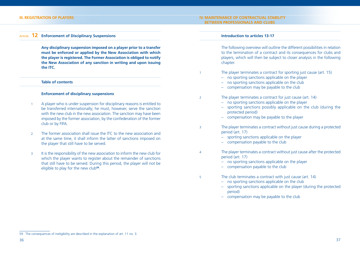#### **III. REGISTRATION OF PLAYERS IV. MAINTENANCE OF CONTRACTUAL STABILITY BETWEEN PROFESSIONALS AND CLUBS**

#### Article **12 Enforcement of Disciplinary Suspensions**

 **Any disciplinary suspension imposed on a player prior to a transfer must be enforced or applied by the New Association with which the player is registered. The Former Association is obliged to notify the New Association of any sanction in writing and upon issuing the ITC.**

#### **Table of contents**

#### **Enforcement of disciplinary suspensions**

- 1 A player who is under suspension for disciplinary reasons is entitled to be transferred internationally; he must, however, serve the sanction with the new club in the new association. The sanction may have been imposed by the former association, by the confederation of the former club or by FIFA.
- 2 The former association shall issue the ITC to the new association and at the same time, it shall inform the latter of sanctions imposed on the player that still have to be served.
- 3 It is the responsibility of the new association to inform the new club for which the player wants to register about the remainder of sanctions that still have to be served. During this period, the player will not be eligible to play for the new club**<sup>59</sup>**.

#### **Introduction to articles 13-17**

 The following overview will outline the different possibilities in relation to the termination of a contract and its consequences for clubs and players, which will then be subject to closer analysis in the following chapter.

- 1 The player terminates a contract for sporting just cause (art. 15)
	- no sporting sanctions applicable on the player
	- no sporting sanctions applicable on the club
	- compensation may be payable to the club
- 2 The player terminates a contract for just cause (art. 14)
	- no sporting sanctions applicable on the player
	- sporting sanctions possibly applicable on the club (during the protected period)
	- compensation may be payable to the player
- 3 The player terminates a contract without just cause during a protected period (art. 17)
	- sporting sanctions applicable on the player
	- compensation payable to the club
- 4 The player terminates a contract without just cause after the protected period (art. 17)
	- no sporting sanctions applicable on the player
	- compensation payable to the club
- 5 The club terminates a contract with just cause (art. 14)
	- no sporting sanctions applicable on the club
	- sporting sanctions applicable on the player (during the protected period)
	- compensation may be payable to the club

<sup>59</sup> The consequences of ineligibility are described in the explanation of art. 11 no. 3.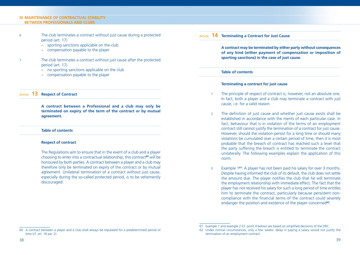#### **IV. MAINTENANCE OF CONTRACTUAL STABILITY BETWEEN PROFESSIONALS AND CLUBS**

- 6 The club terminates a contract without just cause during a protected period (art. 17)
	- sporting sanctions applicable on the club
	- compensation payable to the player
- 7 The club terminates a contract without just cause after the protected period (art. 17)
	- no sporting sanctions applicable on the club
	- compensation payable to the player

#### Article **13 Respect of Contract**

 **A contract between a Professional and a club may only be terminated on expiry of the term of the contract or by mutual agreement.**

#### **Table of contents**

#### **Respect of contract**

 The Regulations aim to ensure that in the event of a club and a player choosing to enter into a contractual relationship, this contract**<sup>60</sup>** will be honoured by both parties. A contract between a player and a club may therefore only be terminated on expiry of the contract or by mutual agreement. Unilateral termination of a contract without just cause, especially during the so-called protected period, is to be vehemently discouraged.

### Article **14 Terminating a Contract for Just Cause**

 **A contract may be terminated by either party without consequences of any kind (either payment of compensation or imposition of sporting sanctions) in the case of just cause.**

#### **Table of contents**

#### **Terminating a contract for just cause**

- The principle of respect of contract is, however, not an absolute one. In fact, both a player and a club may terminate a contract with just cause, i.e. for a valid reason.
- 2 The definition of just cause and whether just cause exists shall be established in accordance with the merits of each particular case. In fact, behaviour that is in violation of the terms of an employment contract still cannot justify the termination of a contract for just cause. However, should the violation persist for a long time or should many violations be cumulated over a certain period of time, then it is most probable that the breach of contract has reached such a level that the party suffering the breach is entitled to terminate the contract unilaterally. The following examples explain the application of this norm.
- 3 Example 1**<sup>61</sup>**: A player has not been paid his salary for over 3 months. Despite having informed the club of its default, the club does not settle the amount due. The player notifies the club that he will terminate the employment relationship with immediate effect. The fact that the player has not received his salary for such a long period of time entitles him to terminate the contract, particularly because persistent noncompliance with the financial terms of the contract could severely endanger the position and existence of the player concerned**<sup>62</sup>**.

<sup>61</sup> Example 1 and example 2 (cf. point 4 below) are based on simplified decisions of the DRC.

<sup>62</sup> Under normal circumstances, only a few weeks' delay in paying a salary would not justify the termination of an employment contract.

<sup>60</sup> A contract between a player and a club shall always be stipulated for a predetermined period of time (cf. art. 18 par. 2)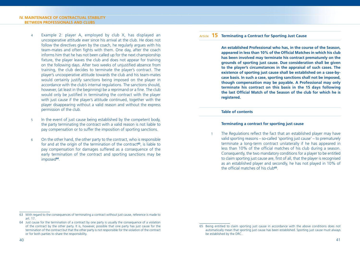- 4 Example 2: player A, employed by club X, has displayed an uncooperative attitude ever since his arrival at the club. He does not follow the directives given by the coach, he regularly argues with his team-mates and often fights with them. One day, after the coach informs him that he has not been called up for the next championship fixture, the player leaves the club and does not appear for training on the following days. After two weeks of unjustified absence from training, the club decides to terminate the player's contract. The player's uncooperative attitude towards the club and his team-mates would certainly justify sanctions being imposed on the player in accordance with the club's internal regulations. The sanctions should, however, (at least in the beginning) be a reprimand or a fine. The club would only be justified in terminating the contract with the player with just cause if the player's attitude continued, together with the player disappearing without a valid reason and without the express permission of the club.
- 5 In the event of just cause being established by the competent body, the party terminating the contract with a valid reason is not liable to pay compensation or to suffer the imposition of sporting sanctions.
- 6 On the other hand, the other party to the contract, who is responsible for and at the origin of the termination of the contract<sup>63</sup>, is liable to pay compensation for damages suffered as a consequence of the early termination of the contract and sporting sanctions may be imposed**<sup>64</sup>**.

#### Article **15 Terminating a Contract for Sporting Just Cause**

 **An established Professional who has, in the course of the Season,**  appeared in less than 10% of the Official Matches in which his club **has been involved may terminate his contract prematurely on the grounds of sporting just cause. Due consideration shall be given to the player's circumstances in the appraisal of such cases. The existence of sporting just cause shall be established on a case-bycase basis. In such a case, sporting sanctions shall not be imposed, though compensation may be payable. A Professional may only terminate his contract on this basis in the 15 days following**  the last Official Match of the Season of the club for which he is **registered.**

#### **Table of contents**

#### **Terminating a contract for sporting just cause**

The Regulations reflect the fact that an established player may have valid sporting reasons – so-called 'sporting just cause' – to prematurely terminate a long-term contract unilaterally if he has appeared in less than 10% of the official matches of his club during a season. Consequently, the two mandatory conditions for a player to be entitled to claim sporting just cause are, first of all, that the player is recognised as an established player and secondly, he has not played in 10% of the official matches of his club<sup>65</sup>

<sup>63</sup> With regard to the consequences of terminating a contract without just cause, reference is made to art. 17.

<sup>64</sup> Just cause for the termination of a contract by one party is usually the consequence of a violation of the contract by the other party. It is, however, possible that one party has just cause for the termination of the contract but that the other party is not responsible for the violation of the contract or for both parties to share the responsibility.

<sup>65</sup> Being entitled to claim sporting just cause in accordance with the above conditions does not automatically mean that sporting just cause has been established. Sporting just cause must always be established by the DRC.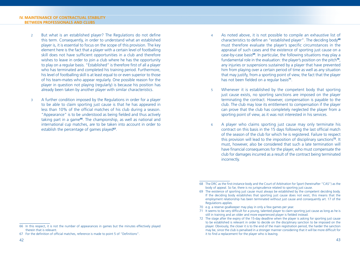- 2 But what is an established player? The Regulations do not define this term. Consequently, in order to understand what an established player is, it is essential to focus on the scope of this provision. The key element here is the fact that a player with a certain level of footballing skill does not have sufficient opportunities in a club and therefore wishes to leave in order to join a club where he has the opportunity to play on a regular basis. "Established" is therefore first of all a player who has terminated and completed his training period. Furthermore, his level of footballing skill is at least equal to or even superior to those of his team-mates who appear regularly. One possible reason for the player in question not playing (regularly) is because his position has already been taken by another player with similar characteristics.
- 3 A further condition imposed by the Regulations in order for a player to be able to claim sporting just cause is that he has appeared in less than 10% of the official matches of his club during a season. "Appearance" is to be understood as being fielded and thus actively taking part in a game**<sup>66</sup>**. The championship, as well as national and international cup matches, are to be taken into account in order to establish the percentage of games played**<sup>67</sup>**.
- 4 As noted above, it is not possible to compile an exhaustive list of characteristics to define an "established player". The deciding body<sup>68</sup> must therefore evaluate the player's specific circumstances in the appraisal of such cases and the existence of sporting just cause on a case-by-case basis**<sup>69</sup>**. In particular, the following situations may play a fundamental role in the evaluation: the player's position on the pitch**<sup>70</sup>**, any injuries or suspensions sustained by a player that have prevented him from playing over a certain period of time as well as any situation that may justify, from a sporting point of view, the fact that the player has not been fielded on a regular basis<sup>71</sup>.
- 5 Whenever it is established by the competent body that sporting just cause exists, no sporting sanctions are imposed on the player terminating the contract. However, compensation is payable to the club. The club may lose its entitlement to compensation if the player can prove that the club has completely neglected the player from a sporting point of view, as it was not interested in his services.
- 6 A player who claims sporting just cause may only terminate his contract on this basis in the 15 days following the last official match of the season of the club for which he is registered. Failure to respect this provision will lead to the imposition of disciplinary sanctions**<sup>72</sup>**. It must, however, also be considered that such a late termination will have financial consequences for the player, who must compensate the club for damages incurred as a result of the contract being terminated incorrectly.

<sup>66</sup> In this respect, it is not the number of appearances in games but the minutes effectively played therein that is relevant.

<sup>67</sup> For the definition of official matches, reference is made to point 5 of "Definitions".

<sup>68</sup> The DRC as the first-instance body and the Court of Arbitration for Sport (hereinafter "CAS") as the body of appeal. So far, there is no jurisprudence related to sporting just cause.

<sup>69</sup> The existence of sporting just cause must always be established by the competent deciding body. If the deciding body establishes that sporting just cause does not exist, this means that the employment relationship has been terminated without just cause and consequently art. 17 of the Regulations applies.

<sup>70</sup> e.g. a reserve goalkeeper may play in only a few games per year.

<sup>71</sup> It seems to be very difficult for a young, talented player to claim sporting just cause as long as he is still in training and an older and more experienced player is fielded instead.

<sup>72</sup> The stage after the expiry of the 15-day deadline when the player is asking for sporting just cause to be established is relevant in order to decide on the disciplinary sanction to be imposed on the player. Obviously, the closer it is to the end of the main registration period, the harder the sanction may be, since the club is penalised in a stronger manner considering that it will be more difficult for it to find a replacement for the player who is leaving.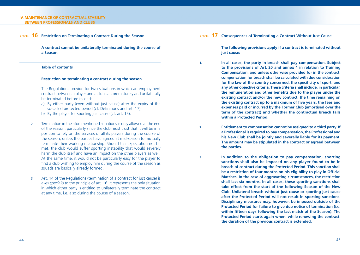#### **IV. MAINTENANCE OF CONTRACTUAL STABILITY BETWEEN PROFESSIONALS AND CLUBS**

#### Article **16 Restriction on Terminating a Contract During the Season**

 **A contract cannot be unilaterally terminated during the course of a Season.**

#### **Table of contents**

#### **Restriction on terminating a contract during the season**

- 1 The Regulations provide for two situations in which an employment contract between a player and a club can prematurely and unilaterally be terminated before its end:
	- a) By either party (even without just cause) after the expiry of the so-called protected period (cf. Definitions and art. 17);
	- b) By the player for sporting just cause (cf. art. 15).
- 2 Termination in the aforementioned situations is only allowed at the end of the season, particularly since the club must trust that it will be in a position to rely on the services of all its players during the course of the season, unless the parties have agreed at mid-season to mutually terminate their working relationship. Should this expectation not be met, the club would suffer sporting instability that would severely harm the club itself and have an impact on the other players as well. At the same time, it would not be particularly easy for the player to find a club wishing to employ him during the course of the season as squads are basically already formed.
- 3 Art. 14 of the Regulations (termination of a contract for just cause) is a *lex specialis* to the principle of art. 16. It represents the only situation in which either party is entitled to unilaterally terminate the contract at any time, i.e. also during the course of a season.

#### Article **17 Consequences of Terminating a Contract Without Just Cause**

 **The following provisions apply if a contract is terminated without just cause:**

- **1. In all cases, the party in breach shall pay compensation. Subject to the provisions of Art. 20 and annex 4 in relation to Training Compensation, and unless otherwise provided for in the contract, compensation for breach shall be calculated with due consideration**  for the law of the country concerned, the specificity of sport, and **any other objective criteria. These criteria shall include, in particular,**  the remuneration and other benefits due to the player under the **existing contract and/or the new contract, the time remaining on**  the existing contract up to a maximum of five years, the fees and **expenses paid or incurred by the Former Club (amortised over the term of the contract) and whether the contractual breach falls within a Protected Period.**
- **2. Entitlement to compensation cannot be assigned to a third party. If a Professional is required to pay compensation, the Professional and his New Club shall be jointly and severally liable for its payment. The amount may be stipulated in the contract or agreed between the parties.**
- **3. In addition to the obligation to pay compensation, sporting sanctions shall also be imposed on any player found to be in breach of contract during the Protected Period. This sanction shall**  be a restriction of four months on his eligibility to play in Official **Matches. In the case of aggravating circumstances, the restriction shall last six months. In all cases, these sporting sanctions shall take effect from the start of the following Season of the New Club. Unilateral breach without just cause or sporting just cause after the Protected Period will not result in sporting sanctions. Disciplinary measures may, however, be imposed outside of the Protected Period for failure to give due notice of termination (i.e.**  within fifteen days following the last match of the Season). The **Protected Period starts again when, while renewing the contract, the duration of the previous contract is extended.**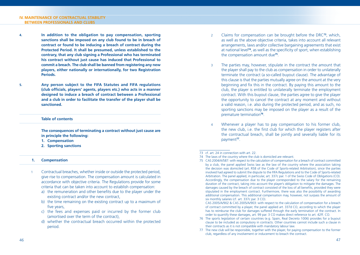- **4. In addition to the obligation to pay compensation, sporting sanctions shall be imposed on any club found to be in breach of contract or found to be inducing a breach of contract during the Protected Period. It shall be presumed, unless established to the contrary, that any club signing a Professional who has terminated his contract without just cause has induced that Professional to commit a breach. The club shall be banned from registering any new players, either nationally or internationally, for two Registration Periods.**
- **5. Any person subject to the FIFA Statutes and FIFA regulations**  (club officials, players' agents, players etc.) who acts in a manner **designed to induce a breach of contract between a Professional and a club in order to facilitate the transfer of the player shall be sanctioned.**

#### **Table of contents**

**The consequences of terminating a contract without just cause are in principle the following:**

- **1. Compensation**
- **2. Sporting sanctions**

#### **1. Compensation**

- 1 Contractual breaches, whether inside or outside the protected period, give rise to compensation. The compensation amount is calculated in accordance with objective criteria. The Regulations provide for some criteria that can be taken into account to establish compensation:
	- a) the remuneration and other benefits due to the player under the existing contract and/or the new contract,
	- b) the time remaining on the existing contract up to a maximum of five years,
	- c) the fees and expenses paid or incurred by the former club (amortised over the term of the contract),
	- d) whether the contractual breach occurred within the protected period.
- 2 Claims for compensation can be brought before the DRC**<sup>73</sup>**, which, as well as the above objective criteria, takes into account all relevant arrangements, laws and/or collective bargaining agreements that exist at national level<sup>74</sup>, as well as the specificity of sport, when establishing the compensation amount due**<sup>75</sup>**.
- 3 The parties may, however, stipulate in the contract the amount that the player shall pay to the club as compensation in order to unilaterally terminate the contract (a so-called buyout clause). The advantage of this clause is that the parties mutually agree on the amount at the very beginning and fix this in the contract. By paying this amount to the club, the player is entitled to unilaterally terminate the employment contract. With this buyout clause, the parties agree to give the player the opportunity to cancel the contract at any moment and without a valid reason, i.e. also during the protected period, and as such, no sporting sanctions may be imposed on the player as a result of the premature termination**<sup>76</sup>**.
- 4 Whenever a player has to pay compensation to his former club, the new club, i.e. the first club for which the player registers after the contractual breach, shall be jointly and severally liable for its payment**<sup>77</sup>**.

#### 73 cf. art. 24 in connection with art. 22.

75 CAS 2004/A/587: with respect to the calculation of compensation for a breach of contract committed by a club, the panel applied Swiss law as the law of the country where the association taking the decision was domiciled (art. R58 of the Code of Sports-related Arbitration), since the parties involved had agreed to submit the dispute to the FIFA Regulations and to the Code of Sports-related Arbitration. The panel applied, in particular, art. 337c par. 1 of the Swiss Code of Obligations (CO). Accordingly, the compensation due to the player corresponded to the salary for the remaining duration of the contract, taking into account the player's obligation to mitigate the damages. The damages caused by the breach of contract consisted of the loss of all benefits, provided they were stipulated in the employment contract. Furthermore, there was also the possibility of awarding additional compensation. This additional compensation may, however, not surpass the amount of six monthly salaries (cf. art. 337c par. 3 CO).

 CAS 2005/A/902 & CAS 2005/A/903: with respect to the calculation of compensation for a breach of contract committed by a player, the panel applied art. 337d CO, according to which the player has to reimburse the club for damages suffered through the early termination of the contract. In order to quantify these damages, art. 99 par. 3 CO makes direct reference to art. 42ff. CO.

- 76 The sports legislation of certain countries (e.g. Spain, Real Decreto 1006) provides for a buyout clause to be included as compulsory in contracts. Other countries cannot include such a clause in their contracts as it is not compatible with mandatory labour law.
- 77 The new club will be responsible, together with the player, for paying compensation to the former club, regardless of any involvement or inducement to breach the contract.

<sup>74</sup> The laws of the country where the club is domiciled are relevant.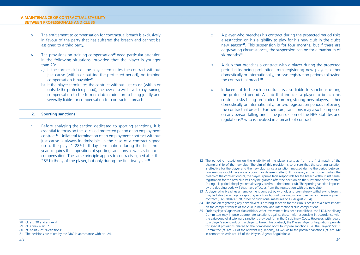#### **IV. MAINTENANCE OF CONTRACTUAL STABILITY BETWEEN PROFESSIONALS AND CLUBS**

- 5 The entitlement to compensation for contractual breach is exclusively in favour of the party that has suffered the breach and cannot be assigned to a third party.
- 6 The provisions on training compensation**<sup>78</sup>** need particular attention in the following situations, provided that the player is younger than 23:
	- a) If the former club of the player terminates the contract without just cause (within or outside the protected period), no training compensation is payable**<sup>79</sup>**.
	- b) If the player terminates the contract without just cause (within or outside the protected period), the new club will have to pay training compensation to the former club in addition to being jointly and severally liable for compensation for contractual breach.

#### **2. Sporting sanctions**

1 Before analysing the section dedicated to sporting sanctions, it is essential to focus on the so-called protected period of an employment contract**<sup>80</sup>**. Unilateral termination of an employment contract without just cause is always inadmissible. In the case of a contract signed up to the player's  $28<sup>th</sup>$  birthday, termination during the first three years requires the imposition of sporting sanctions as well as financial compensation. The same principle applies to contracts signed after the 28<sup>th</sup> birthday of the player, but only during the first two years<sup>81</sup>.

- 2 A player who breaches his contract during the protected period risks a restriction on his eligibility to play for his new club in the club's new season**<sup>82</sup>**. This suspension is for four months, but if there are aggravating circumstances, the suspension can be for a maximum of six months**<sup>83</sup>**.
- 3 A club that breaches a contract with a player during the protected period risks being prohibited from registering new players, either domestically or internationally, for two registration periods following the contractual breach**<sup>84</sup>**.
- 4 Inducement to breach a contract is also liable to sanctions during the protected period. A club that induces a player to breach his contract risks being prohibited from registering new players, either domestically or internationally, for two registration periods following the contractual breach. Furthermore, sanctions may also be imposed on any person falling under the jurisdiction of the FIFA Statutes and regulations**<sup>85</sup>** who is involved in a breach of contract.

- 84 The ban on registering any new players is a strong sanction for the club, since it has a direct impact on the competitiveness of the club in national and international club competitions.
- 85 Such as players' agents or club officials. After involvement has been established, the FIFA Disciplinary Committee may impose appropriate sanctions against those held responsible in accordance with the catalogue of disciplinary sanctions provided for in the Disciplinary Code. However, with regard to a player's agent inducing a player to breach his contract, the Players' Agents Regulations provide for special provisions related to the competent body to impose sanctions, i.e. the Players' Status Committee (cf. art. 21 of the relevant regulations), as well as to the possible sanctions (cf. art. 14c in connection with art. 15 of the Players' Agents Regulations).

<sup>78</sup> cf. art. 20 and annex 4

<sup>79</sup> cf. annex 4 art. 2

<sup>80</sup> cf. point 7 of "Definitions".

<sup>81</sup> The decisions are taken by the DRC in accordance with art. 24.

<sup>82</sup> The period of restriction on the eligibility of the player starts as from the first match of the championship of the new club. The aim of this provision is to ensure that the sporting sanction is effective for the player and the new club (since a sanction imposed during the period between two seasons would have no sanctioning or deterrent effect). If, however, at the moment when the breach of the contract occurs, the player is prima facie responsible for the breach without just cause, registration for the new club will only be granted after the decision on the substance of the matter. During this period, the player remains registered with the former club. The sporting sanction imposed by the deciding body will thus have effect as from the registration with the new club.

<sup>83</sup> A player who breaches an employment contract by wrongly and prematurely withdrawing from it may be liable to damages or sporting sanctions but not to an injunction to remain in the employment contract (CAS 2004/A/678, order of provisional measures of 17 August 2004).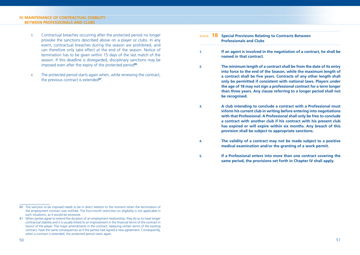#### **IV. MAINTENANCE OF CONTRACTUAL STABILITY BETWEEN PROFESSIONALS AND CLUBS**

- 5 Contractual breaches occurring after the protected period no longer provoke the sanctions described above on a player or clubs. In any event, contractual breaches during the season are prohibited, and can therefore only take effect at the end of the season. Notice of termination has to be given within 15 days of the last match of the season. If this deadline is disregarded, disciplinary sanctions may be imposed even after the expiry of the protected period**<sup>86</sup>**.
- 6 The protected period starts again when, while renewing the contract, the previous contract is extended**<sup>87</sup>**.

#### Article **18 Special Provisions Relating to Contracts Between Professionals and Clubs**

- **1. If an agent is involved in the negotiation of a contract, he shall be named in that contract.**
- **2. The minimum length of a contract shall be from the date of its entry into force to the end of the Season, while the maximum length of**  a contract shall be five years. Contracts of any other length shall **only be permitted if consistent with national laws. Players under the age of 18 may not sign a professional contract for a term longer than three years. Any clause referring to a longer period shall not be recognised.**
- **3. A club intending to conclude a contract with a Professional must inform his current club in writing before entering into negotiations with that Professional. A Professional shall only be free to conclude a contract with another club if his contract with his present club has expired or will expire within six months. Any breach of this provision shall be subject to appropriate sanctions.**
- **4. The validity of a contract may not be made subject to a positive medical examination and/or the granting of a work permit.**
- **5. If a Professional enters into more than one contract covering the same period, the provisions set forth in Chapter IV shall apply.**

<sup>86</sup> The sanction to be imposed needs to be in direct relation to the moment when the termination of the employment contract was notified. The four-month restriction on eligibility is not applicable in such situations, as it would be excessive.

<sup>87</sup> When parties agree to extend the duration of an employment relationship, they do so to have longer contractual stability and it is usually linked to an improvement in the financial terms of the contract in favour of the player. The major amendments in the contract, replacing certain terms of the existing contract, have the same consequences as if the parties had signed a new agreement. Consequently, when a contract is extended, the protected period starts again.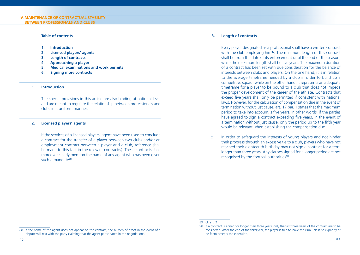#### **Table of contents**

- **1. Introduction**
- **2. Licensed players' agents**
- **3. Length of contracts**
- **4. Approaching a player**
- **5. Medical examinations and work permits**
- **6. Signing more contracts**

#### **1. Introduction**

 The special provisions in this article are also binding at national level and are meant to regulate the relationship between professionals and clubs in a uniform manner.

#### **2. Licensed players' agents**

 If the services of a licensed players' agent have been used to conclude a contract for the transfer of a player between two clubs and/or an employment contract between a player and a club, reference shall be made to this fact in the relevant contract(s). These contracts shall moreover clearly mention the name of any agent who has been given such a mandate**<sup>88</sup>**.

#### **3. Length of contracts**

- 1 Every player designated as a professional shall have a written contract with the club employing him**<sup>89</sup>**. The minimum length of this contract shall be from the date of its enforcement until the end of the season, while the maximum length shall be five years. The maximum duration of a contract has been set with due consideration for the balance of interests between clubs and players. On the one hand, it is in relation to the average timeframe needed by a club in order to build up a competitive squad, while on the other hand, it represents an adequate timeframe for a player to be bound to a club that does not impede the proper development of the career of the athlete. Contracts that exceed five years shall only be permitted if consistent with national laws. However, for the calculation of compensation due in the event of termination without just cause, art. 17 par. 1 states that the maximum period to take into account is five years. In other words, if the parties have agreed to sign a contract exceeding five years, in the event of a termination without just cause, only the period up to the fifth year would be relevant when establishing the compensation due.
- 2 In order to safeguard the interests of young players and not hinder their progress through an excessive tie to a club, players who have not reached their eighteenth birthday may not sign a contract for a term longer than three years. Any clauses signed for a longer period are not recognised by the football authorities**<sup>90</sup>**.

<sup>89</sup> cf. art. 2

<sup>88</sup> If the name of the agent does not appear on the contract, the burden of proof in the event of a dispute will rest with the party claiming that the agent participated in the negotiations.

<sup>90</sup> If a contract is signed for longer than three years, only the first three years of the contract are to be considered. After the end of the third year, the player is free to leave the club unless he explicitly or de facto accepts the extension.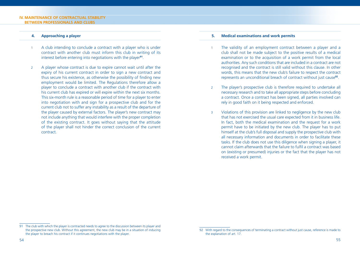#### **IV. MAINTENANCE OF CONTRACTUAL STABILITY BETWEEN PROFESSIONALS AND CLUBS**

#### **4. Approaching a player**

- 1 A club intending to conclude a contract with a player who is under contract with another club must inform this club in writing of its interest before entering into negotiations with the player**<sup>91</sup>**.
- 2 A player whose contract is due to expire cannot wait until after the expiry of his current contract in order to sign a new contract and thus secure his existence, as otherwise the possibility of finding new employment would be limited. The Regulations therefore allow a player to conclude a contract with another club if the contract with his current club has expired or will expire within the next six months. This six-month rule is a reasonable period of time for a player to enter into negotiation with and sign for a prospective club and for the current club not to suffer any instability as a result of the departure of the player caused by external factors. The player's new contract may not include anything that would interfere with the proper completion of the existing contract. It goes without saying that the attitude of the player shall not hinder the correct conclusion of the current contract.

#### **5. Medical examinations and work permits**

- 1 The validity of an employment contract between a player and a club shall not be made subject to the positive results of a medical examination or to the acquisition of a work permit from the local authorities. Any such conditions that are included in a contract are not recognised and the contract is still valid without this clause. In other words, this means that the new club's failure to respect the contract represents an unconditional breach of contract without just cause**<sup>92</sup>**.
- 2 The player's prospective club is therefore required to undertake all necessary research and to take all appropriate steps before concluding a contract. Once a contract has been signed, all parties involved can rely in good faith on it being respected and enforced.
- 3 Violations of this provision are linked to negligence by the new club that has not exercised the usual care expected from it in business life. In fact, both the medical examination and the request for a work permit have to be initiated by the new club. The player has to put himself at the club's full disposal and supply the prospective club with all necessary information and documents in order to facilitate these tasks. If the club does not use this diligence when signing a player, it cannot claim afterwards that the failure to fulfil a contract was based on (existing or presumed) injuries or the fact that the player has not received a work permit.

<sup>91</sup> The club with which the player is contracted needs to agree to the discussion between its player and the prospective new club. Without this agreement, the new club may be in a situation of inducing the player to breach his contract if it continues negotiations with the player.

<sup>92</sup> With regard to the consequences of terminating a contract without just cause, reference is made to the explanation of art. 17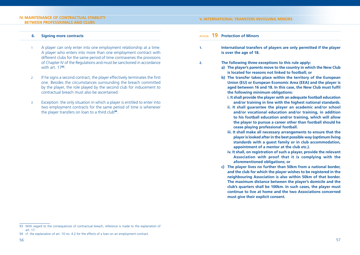#### **IV. MAINTENANCE OF CONTRACTUAL STABILITY BETWEEN PROFESSIONALS AND CLUBS**

#### **V. INTERNATIONAL TRANSFERS INVOLVING MINORS**

#### **6. Signing more contracts**

- 1 A player can only enter into one employment relationship at a time. A player who enters into more than one employment contract with different clubs for the same period of time contravenes the provisions of Chapter IV of the Regulations and must be sanctioned in accordance with art. 17**<sup>93</sup>**.
- 2 If he signs a second contract, the player effectively terminates the first one. Besides the circumstances surrounding the breach committed by the player, the role played by the second club for inducement to contractual breach must also be ascertained.
- 3 Exception: the only situation in which a player is entitled to enter into two employment contracts for the same period of time is whenever the player transfers on loan to a third club**<sup>94</sup>**.

#### Article **19 Protection of Minors**

- **1. International transfers of players are only permitted if the player is over the age of 18.**
- **2. The following three exceptions to this rule apply:**
	- **a) The player's parents move to the country in which the New Club is located for reasons not linked to football; or**
	- **b) The transfer takes place within the territory of the European Union (EU) or European Economic Area (EEA) and the player is**  aged between 16 and 18. In this case, the New Club must fulfil **the following minimum obligations:**
		- **i. It shall provide the player with an adequate football education and/or training in line with the highest national standards.**
		- **ii. It shall guarantee the player an academic and/or school and/or vocational education and/or training, in addition to his football education and/or training, which will allow the player to pursue a career other than football should he cease playing professional football.**
		- **iii. It shall make all necessary arrangements to ensure that the player is looked after in the best possible way (optimum living standards with a guest family or in club accommodation, appointment of a mentor at the club etc.).**
		- **iv. It shall, on registration of such a player, provide the relevant Association with proof that it is complying with the aforementioned obligations; or**
	- **c) The player lives no further than 50km from a national border, and the club for which the player wishes to be registered in the neighbouring Association is also within 50km of that border. The maximum distance between the player's domicile and the club's quarters shall be 100km. In such cases, the player must continue to live at home and the two Associations concerned must give their explicit consent.**

<sup>93</sup> With regard to the consequences of contractual breach, reference is made to the explanation of art. 17.

<sup>94</sup> cf. the explanation of art. 10 no. 4.2 for the effects of a loan on an employment contract.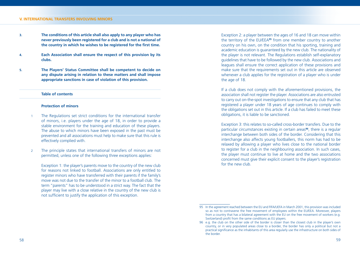#### **V. INTERNATIONAL TRANSFERS INVOLVING MINORS**

- **3. The conditions of this article shall also apply to any player who has never previously been registered for a club and is not a national of**  the country in which he wishes to be registered for the first time.
- **4. Each Association shall ensure the respect of this provision by its clubs.**
- **5. The Players' Status Committee shall be competent to decide on any dispute arising in relation to these matters and shall impose appropriate sanctions in case of violation of this provision.**

#### **Table of contents**

#### **Protection of minors**

- 1 The Regulations set strict conditions for the international transfer of minors, i.e. players under the age of 18, in order to provide a stable environment for the training and education of these players. The abuse to which minors have been exposed in the past must be prevented and all associations must help to make sure that this rule is effectively complied with.
- 2 The principle states that international transfers of minors are not permitted, unless one of the following three exceptions applies:

 Exception 1: the player's parents move to the country of the new club for reasons not linked to football. Associations are only entitled to register minors who have transferred with their parents if the family's move was not due to the transfer of the minor to a football club. The term "parents" has to be understood in a strict way. The fact that the player may live with a close relative in the country of the new club is not sufficient to justify the application of this exception.

 Exception 2: a player between the ages of 16 and 18 can move within the territory of the EU/EEA**<sup>95</sup>** from one member country to another country on his own, on the condition that his sporting, training and academic education is guaranteed by the new club. The nationality of the player is not relevant. The Regulations establish self-explanatory guidelines that have to be followed by the new club. Associations and leagues shall ensure the correct application of these provisions and make sure that the requirements set out in this article are observed whenever a club applies for the registration of a player who is under the age of 18.

 If a club does not comply with the aforementioned provisions, the association shall not register the player. Associations are also entrusted to carry out on-the-spot investigations to ensure that any club that has registered a player under 18 years of age continues to comply with the obligations set out in this article. If a club has failed to meet these obligations, it is liable to be sanctioned.

 Exception 3: this relates to so-called cross-border transfers. Due to the particular circumstances existing in certain areas**<sup>96</sup>**, there is a regular interchange between both sides of the border. Considering that this interchange also affects young footballers, this norm has had to be relaxed by allowing a player who lives close to the national border to register for a club in the neighbouring association. In such cases, the player must continue to live at home and the two associations concerned must give their explicit consent to the player's registration for the new club.

<sup>95</sup> In the agreement reached between the EU and FIFA/UEFA in March 2001, this provision was included so as not to contravene the free movement of employees within the EU/EEA. Moreover, players from a country that has a bilateral agreement with the EU on the free movement of workers (e.g. Switzerland) profit from the same conditions as EU players.

<sup>96</sup> e.g. the club on the other side of the border is closer than the closest club in the player's own country, or in very populated areas close to a border, the border has only a political but not a practical significance as the inhabitants of this area regularly use the infrastructure on both sides of the border.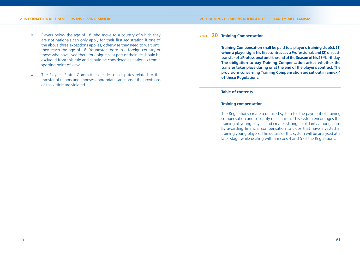#### **V. INTERNATIONAL TRANSFERS INVOLVING MINORS**

- 3 Players below the age of 18 who move to a country of which they are not nationals can only apply for their first registration if one of the above three exceptions applies, otherwise they need to wait until they reach the age of 18. Youngsters born in a foreign country or those who have lived there for a significant part of their life should be excluded from this rule and should be considered as nationals from a sporting point of view.
- 4 The Players' Status Committee decides on disputes related to the transfer of minors and imposes appropriate sanctions if the provisions of this article are violated.

#### **VI. TRAINING COMPENSATION AND SOLIDARITY MECHANISM**

#### Article **20 Training Compensation**

 **Training Compensation shall be paid to a player's training club(s): (1)**  when a player signs his first contract as a Professional, and (2) on each **transfer of a Professional until the end of the Season of his 23rd birthday. The obligation to pay Training Compensation arises whether the transfer takes place during or at the end of the player's contract. The provisions concerning Training Compensation are set out in annex 4 of these Regulations.**

#### **Table of contents**

#### **Training compensation**

 The Regulations create a detailed system for the payment of training compensation and solidarity mechanism. This system encourages the training of young players and creates stronger solidarity among clubs by awarding financial compensation to clubs that have invested in training young players. The details of this system will be analysed at a later stage while dealing with annexes 4 and 5 of the Regulations.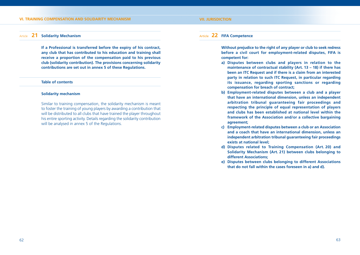#### **VI. TRAINING COMPENSATION AND SOLIDARITY MECHANISM**

#### **VII. JURISDICTION**

#### Article **21 Solidarity Mechanism**

 **If a Professional is transferred before the expiry of his contract, any club that has contributed to his education and training shall receive a proportion of the compensation paid to his previous club (solidarity contribution). The provisions concerning solidarity contributions are set out in annex 5 of these Regulations.**

#### **Table of contents**

#### **Solidarity mechanism**

 Similar to training compensation, the solidarity mechanism is meant to foster the training of young players by awarding a contribution that will be distributed to all clubs that have trained the player throughout his entire sporting activity. Details regarding the solidarity contribution will be analysed in annex 5 of the Regulations.

#### Article **22 FIFA Competence**

 **Without prejudice to the right of any player or club to seek redress before a civil court for employment-related disputes, FIFA is competent for:**

- **a) Disputes between clubs and players in relation to the maintenance of contractual stability (Art. 13 – 18) if there has been an ITC Request and if there is a claim from an interested party in relation to such ITC Request, in particular regarding its issuance, regarding sporting sanctions or regarding compensation for breach of contract;**
- **b) Employment-related disputes between a club and a player that have an international dimension, unless an independent arbitration tribunal guaranteeing fair proceedings and respecting the principle of equal representation of players and clubs has been established at national level within the framework of the Association and/or a collective bargaining agreement;**
- **c) Employment-related disputes between a club or an Association and a coach that have an international dimension, unless an independent arbitration tribunal guaranteeing fair proceedings exists at national level;**
- **d) Disputes related to Training Compensation (Art. 20) and Solidarity Mechanism (Art. 21) between clubs belonging to different Associations;**
- **e) Disputes between clubs belonging to different Associations that do not fall within the cases foreseen in a) and d).**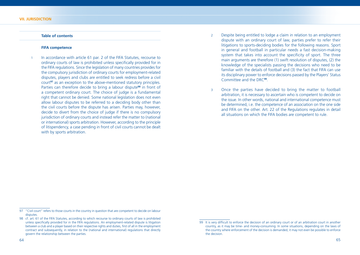#### **Table of contents**

#### **FIFA competence**

In accordance with article 61 par. 2 of the FIFA Statutes, recourse to ordinary courts of law is prohibited unless specifically provided for in the FIFA regulations. Since the legislation of many countries provides for the compulsory jurisdiction of ordinary courts for employment-related disputes, players and clubs are entitled to seek redress before a civil court**<sup>97</sup>** as an exception to the above-mentioned statutory principles. Parties can therefore decide to bring a labour dispute**<sup>98</sup>** in front of a competent ordinary court. The choice of judge is a fundamental right that cannot be denied. Some national legislation does not even allow labour disputes to be referred to a deciding body other than the civil courts before the dispute has arisen. Parties may, however, decide to divert from the choice of judge if there is no compulsory jurisdiction of ordinary courts and instead refer the matter to (national or international) sports arbitration. However, according to the principle of litispendency, a case pending in front of civil courts cannot be dealt with by sports arbitration.

- 2 Despite being entitled to lodge a claim in relation to an employment dispute with an ordinary court of law, parties prefer to refer their litigations to sports-deciding bodies for the following reasons. Sport in general and football in particular needs a fast decision-making system that takes into account the specificity of sport. The three main arguments are therefore (1) swift resolution of disputes, (2) the knowledge of the specialists passing the decisions who need to be familiar with the details of football and (3) the fact that FIFA can use its disciplinary power to enforce decisions passed by the Players' Status Committee and the DRC**<sup>99</sup>**.
- 3 Once the parties have decided to bring the matter to football arbitration, it is necessary to ascertain who is competent to decide on the issue. In other words, national and international competence must be determined, i.e. the competence of an association on the one side and FIFA on the other. Art. 22 of the Regulations regulates in detail all situations on which the FIFA bodies are competent to rule.

<sup>97 &</sup>quot;Civil court" refers to those courts in the country in question that are competent to decide on labour disputes.

<sup>98</sup> cf. art. 61 of the FIFA Statutes, according to which recourse to ordinary courts of law is prohibited unless specifically provided for in the FIFA regulations. An employment-related dispute is litigation between a club and a player based on their respective rights and duties, first of all in the employment contract and subsequently, in relation to the (national and international) regulations that directly govern the relationship between the parties.

<sup>99</sup> It is very difficult to enforce the decision of an ordinary court or of an arbitration court in another country, as it may be time- and money-consuming. In some situations, depending on the laws of the country where enforcement of the decision is demanded, it may not even be possible to enforce the decision.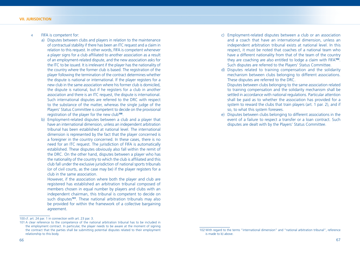- 4 FIFA is competent for:
	- a) Disputes between clubs and players in relation to the maintenance of contractual stability if there has been an ITC request and a claim in relation to this request. In other words, FIFA is competent whenever a player signs for a club affiliated to another association as a result of an employment-related dispute, and the new association asks for the ITC to be issued. It is irrelevant if the player has the nationality of the country where the former club is based. The registration of the player following the termination of the contract determines whether the dispute is national or international. If the player registers for a new club in the same association where his former club is domiciled, the dispute is national, but if he registers for a club in another association and there is an ITC request, the dispute is international. Such international disputes are referred to the DRC with respect to the substance of the matter, whereas the single judge of the Players' Status Committee is competent to decide on the provisional registration of the player for the new club**<sup>100</sup>**.
	- b) Employment-related disputes between a club and a player that have an international dimension, unless an independent arbitration tribunal has been established at national level. The international dimension is represented by the fact that the player concerned is a foreigner in the country concerned. In these cases, there is no need for an ITC request. The jurisdiction of FIFA is automatically established. These disputes obviously also fall within the remit of the DRC. On the other hand, disputes between a player who has the nationality of the country to which the club is affiliated and this club fall under the exclusive jurisdiction of national sports tribunals (or of civil courts, as the case may be) if the player registers for a club in the same association.

 However, if the association where both the player and club are registered has established an arbitration tribunal composed of members chosen in equal number by players and clubs with an independent chairman, this tribunal is competent to decide on such disputes**<sup>101</sup>**. These national arbitration tribunals may also be provided for within the framework of a collective bargaining agreement.

- c) Employment-related disputes between a club or an association and a coach that have an international dimension, unless an independent arbitration tribunal exists at national level. In this respect, it must be noted that coaches of a national team who have a different nationality from that of the team of the country they are coaching are also entitled to lodge a claim with FIFA**<sup>102</sup>**. Such disputes are referred to the Players' Status Committee.
- d) Disputes related to training compensation and the solidarity mechanism between clubs belonging to different associations. These disputes are referred to the DRC.

 Disputes between clubs belonging to the same association related to training compensation and the solidarity mechanism shall be settled in accordance with national regulations. Particular attention shall be paid as to whether the association has provided for a system to reward the clubs that train players (art. 1 par. 2), and if so, to what this system foresees.

e) Disputes between clubs belonging to different associations in the event of a failure to respect a transfer or a loan contract. Such disputes are dealt with by the Players' Status Committee.

<sup>100</sup> cf. art. 24 par. 1 in connection with art. 23 par. 3.

<sup>101</sup> A clear reference to the competence of the national arbitration tribunal has to be included in the employment contract. In particular, the player needs to be aware at the moment of signing the contract that the parties shall be submitting potential disputes related to their employment relationship to this body.

<sup>102</sup> With regard to the terms "international dimension" and "national arbitration tribunal", reference is made to b) above.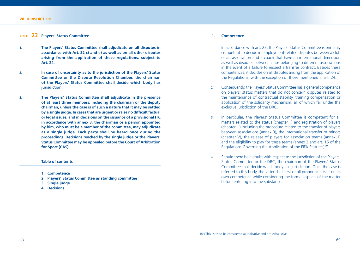#### Article **23 Players' Status Committee**

- **1. The Players' Status Committee shall adjudicate on all disputes in accordance with Art. 22 c) and e) as well as on all other disputes arising from the application of these regulations, subject to Art. 24.**
- **2. In case of uncertainty as to the jurisdiction of the Players' Status Committee or the Dispute Resolution Chamber, the chairman of the Players' Status Committee shall decide which body has jurisdiction.**
- **3. The Players' Status Committee shall adjudicate in the presence of at least three members, including the chairman or the deputy chairman, unless the case is of such a nature that it may be settled**  by a single judge. In cases that are urgent or raise no difficult factual **or legal issues, and in decisions on the issuance of a provisional ITC in accordance with annex 3, the chairman or a person appointed by him, who must be a member of the committee, may adjudicate as a single judge. Each party shall be heard once during the proceedings. Decisions reached by the single judge or the Players' Status Committee may be appealed before the Court of Arbitration for Sport (CAS).**

#### **Table of contents**

- **1. Competence**
- **2. Players' Status Committee as standing committee**
- **3. Single judge**
- **4. Decisions**

#### **1. Competence**

- 1 In accordance with art. 23, the Players' Status Committee is primarily competent to decide in employment-related disputes between a club or an association and a coach that have an international dimension as well as disputes between clubs belonging to different associations in the event of a failure to respect a transfer contract. Besides these competences, it decides on all disputes arising from the application of the Regulations, with the exception of those mentioned in art. 24.
- 2 Consequently, the Players' Status Committee has a general competence on players' status matters that do not concern disputes related to the maintenance of contractual stability, training compensation or application of the solidarity mechanism, all of which fall under the exclusive jurisdiction of the DRC.
- 3 In particular, the Players' Status Committee is competent for all matters related to the status (chapter II) and registration of players (chapter III) including the procedure related to the transfer of players between associations (annex 3), the international transfer of minors (chapter V), the release of players for association teams (annex 1) and the eligibility to play for these teams (annex 2 and art. 15 of the Regulations Governing the Application of the FIFA Statutes)**<sup>103</sup>**.
- 4 Should there be a doubt with respect to the jurisdiction of the Players' Status Committee or the DRC, the chairman of the Players' Status Committee shall decide which body has jurisdiction. Once the case is referred to this body, the latter shall first of all pronounce itself on its own competence while considering the formal aspects of the matter before entering into the substance.

<sup>103</sup> This list is to be considered as indicative and not exhaustive.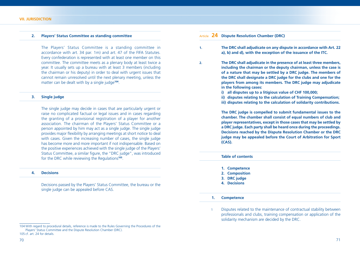#### **2. Players' Status Committee as standing committee**

 The Players' Status Committee is a standing committee in accordance with art. 34 par. 1m) and art. 47 of the FIFA Statutes. Every confederation is represented with at least one member on this committee. The committee meets as a plenary body at least twice a year. It usually sets up a bureau with at least 3 members (including the chairman or his deputy) in order to deal with urgent issues that cannot remain unresolved until the next plenary meeting, unless the matter can be dealt with by a single judge**<sup>104</sup>**.

#### **3. Single judge**

 The single judge may decide in cases that are particularly urgent or raise no complicated factual or legal issues and in cases regarding the granting of a provisional registration of a player for another association. The chairman of the Players' Status Committee or a person appointed by him may act as a single judge. The single judge provides major flexibility by arranging meetings at short notice to deal with cases. Given the increasing number of cases, the single judge has become more and more important if not indispensable. Based on the positive experiences achieved with the single judge of the Players' Status Committee, a similar figure, the "DRC judge", was introduced for the DRC while reviewing the Regulations**<sup>105</sup>**.

#### **4. Decisions**

 Decisions passed by the Players' Status Committee, the bureau or the single judge can be appealed before CAS.

- **1. The DRC shall adjudicate on any dispute in accordance with Art. 22 a), b) and d), with the exception of the issuance of the ITC.**
- **2. The DRC shall adjudicate in the presence of at least three members, including the chairman or the deputy chairman, unless the case is of a nature that may be settled by a DRC judge. The members of the DRC shall designate a DRC judge for the clubs and one for the players from among its members. The DRC judge may adjudicate in the following cases:** 
	- **i) all disputes up to a litigious value of CHF 100,000;**
	- **ii) disputes relating to the calculation of Training Compensation;**
	- **iii) disputes relating to the calculation of solidarity contributions.**

 **The DRC judge is compelled to submit fundamental issues to the chamber. The chamber shall consist of equal numbers of club and player representatives, except in those cases that may be settled by a DRC judge. Each party shall be heard once during the proceedings. Decisions reached by the Dispute Resolution Chamber or the DRC judge may be appealed before the Court of Arbitration for Sport (CAS).**

#### **Table of contents**

- **1. Competence**
- **2. Composition**
- **3. DRC judge**
- **4. Decisions**

#### **1. Competence**

1 Disputes related to the maintenance of contractual stability between professionals and clubs, training compensation or application of the solidarity mechanism are decided by the DRC.

Article **24 Dispute Resolution Chamber (DRC)**

<sup>104</sup> With regard to procedural details, reference is made to the Rules Governing the Procedures of the Players' Status Committee and the Dispute Resolution Chamber (DRC). 105 cf. art. 24 for details.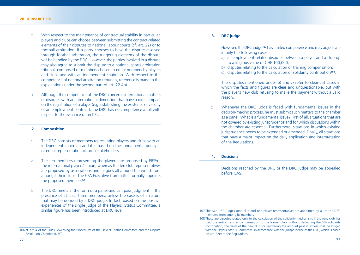- 2 With respect to the maintenance of contractual stability in particular, players and clubs can choose between submitting the contract-related elements of their disputes to national labour courts (cf. art. 22) or to football arbitration. If a party chooses to have the dispute resolved through football arbitration, the triggering elements of the dispute will be handled by the DRC. However, the parties involved in a dispute may also agree to submit the dispute to a national sports arbitration tribunal, composed of members chosen in equal numbers by players and clubs and with an independent chairman. With respect to the competence of national arbitration tribunals, reference is made to the explanations under the second part of art. 22 4b).
- 3 Although the competence of the DRC concerns international matters or disputes with an international dimension that have a direct impact on the registration of a player (e.g. establishing the existence or validity of an employment contract), the DRC has no competence at all with respect to the issuance of an ITC.

#### **2. Composition**

- 1 The DRC consists of members representing players and clubs with an independent chairman and it is based on the fundamental principle of equal representation of both stakeholders.
- 2 The ten members representing the players are proposed by FIFPro, the international players' union, whereas the ten club representatives are proposed by associations and leagues all around the world from amongst their clubs. The FIFA Executive Committee formally appoints the proposed members**<sup>106</sup>**.
- 3 The DRC meets in the form of a panel and can pass judgment in the presence of at least three members, unless the case is of a nature that may be decided by a DRC judge. In fact, based on the positive experiences of the single judge of the Players' Status Committee, a similar figure has been introduced at DRC level.
- 1 However, the DRC judge**<sup>107</sup>** has limited competence and may adjudicate in only the following cases:
	- a) all employment-related disputes between a player and a club up to a litigious value of CHF 100,000;
	- b) disputes relating to the calculation of training compensation;
	- c) disputes relating to the calculation of solidarity contribution**<sup>108</sup>**.

 The disputes mentioned under b) and c) refer to clear-cut cases in which the facts and figures are clear and unquestionable, but with the player's new club refusing to make the payment without a valid reason.

2 Whenever the DRC judge is faced with fundamental issues in the decision-making process, he must submit such matters to the chamber as a panel. What is a fundamental issue? First of all, situations that are not covered by existing jurisprudence and for which discussions within the chamber are essential. Furthermore, situations in which existing jurisprudence needs to be extended or amended. Finally, all situations that have a major impact on the daily application and interpretation of the Regulations.

## **4. Decisions**

 Decisions reached by the DRC or the DRC judge may be appealed before CAS.

<sup>106</sup> cf. art. 4 of the Rules Governing the Procedures of the Players' Status Committee and the Dispute Resolution Chamber (DRC).

<sup>107</sup> The two DRC judges (one club and one player representative) are appointed by all of the DRC members from among its members.

<sup>108</sup> These are disputes related only to the calculation of the solidarity mechanism. If the new club has paid the entire transfer compensation to the former club, without deducting the 5% solidarity contribution, the claim of the new club for recovering the amount paid in excess shall be lodged with the Players' Status Committee, in accordance with the jurisprudence of the DRC, which is based on art. 22e) of the Regulations.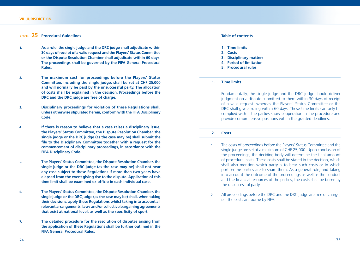#### **VII. JURISDICTION**

# Article **25 Procedural Guidelines**

- **1. As a rule, the single judge and the DRC judge shall adjudicate within 30 days of receipt of a valid request and the Players' Status Committee or the Dispute Resolution Chamber shall adjudicate within 60 days. The proceedings shall be governed by the FIFA General Procedural Rules.**
- **2. The maximum cost for proceedings before the Players' Status Committee, including the single judge, shall be set at CHF 25,000 and will normally be paid by the unsuccessful party. The allocation of costs shall be explained in the decision. Proceedings before the DRC and the DRC judge are free of charge.**
- **3. Disciplinary proceedings for violation of these Regulations shall, unless otherwise stipulated herein, conform with the FIFA Disciplinary Code.**
- **4. If there is reason to believe that a case raises a disciplinary issue, the Players' Status Committee, the Dispute Resolution Chamber, the single judge or the DRC judge (as the case may be) shall submit the**  file to the Disciplinary Committee together with a request for the **commencement of disciplinary proceedings, in accordance with the FIFA Disciplinary Code.**
- **5. The Players' Status Committee, the Dispute Resolution Chamber, the single judge or the DRC judge (as the case may be) shall not hear any case subject to these Regulations if more than two years have elapsed from the event giving rise to the dispute. Application of this**  time limit shall be examined ex officio in each individual case.
- **6. The Players' Status Committee, the Dispute Resolution Chamber, the single judge or the DRC judge (as the case may be) shall, when taking their decisions, apply these Regulations whilst taking into account all relevant arrangements, laws and/or collective bargaining agreements**  that exist at national level, as well as the specificity of sport.
- **7. The detailed procedure for the resolution of disputes arising from the application of these Regulations shall be further outlined in the FIFA General Procedural Rules.**



 Fundamentally, the single judge and the DRC judge should deliver judgment on a dispute submitted to them within 30 days of receipt of a valid request, whereas the Players' Status Committee or the DRC shall give a ruling within 60 days. These time limits can only be complied with if the parties show cooperation in the procedure and provide comprehensive positions within the granted deadlines.

#### **2. Costs**

- 1 The costs of proceedings before the Players' Status Committee and the single judge are set at a maximum of CHF 25,000. Upon conclusion of the proceedings, the deciding body will determine the final amount of procedural costs. These costs shall be stated in the decision, which shall also mention which party is to bear such costs or in which portion the parties are to share them. As a general rule, and taking into account the outcome of the proceedings as well as the conduct and the financial resources of the parties, the costs shall be borne by the unsuccessful party.
- 2 All proceedings before the DRC and the DRC judge are free of charge, i.e. the costs are borne by FIFA.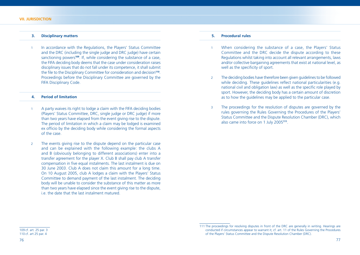## **3. Disciplinary matters**

1 In accordance with the Regulations, the Players' Status Committee and the DRC (including the single judge and DRC judge) have certain sanctioning powers<sup>109</sup>. If, while considering the substance of a case, the FIFA deciding body deems that the case under consideration raises disciplinary issues that do not fall under its competence, it shall submit the file to the Disciplinary Committee for consideration and decision<sup>110</sup>. Proceedings before the Disciplinary Committee are governed by the FIFA Disciplinary Code.

# **4. Period of limitation**

- 1 A party waives its right to lodge a claim with the FIFA deciding bodies (Players' Status Committee, DRC, single judge or DRC judge) if more than two years have elapsed from the event giving rise to the dispute. The period of limitation in which a claim may be lodged is examined ex officio by the deciding body while considering the formal aspects of the case.
- 2 The events giving rise to the dispute depend on the particular case and can be explained with the following example: the clubs A and B (obviously belonging to different associations) enter into a transfer agreement for the player X. Club B shall pay club A transfer compensation in five equal instalments. The last instalment is due on 30 June 2003. Club A does not claim this amount for a long time. On 10 August 2005, club A lodges a claim with the Players' Status Committee to demand payment of the last instalment. The deciding body will be unable to consider the substance of this matter as more than two years have elapsed since the event giving rise to the dispute, i.e. the date that the last instalment matured.

# **5. Procedural rules**

- 1 When considering the substance of a case, the Players' Status Committee and the DRC decide the dispute according to these Regulations whilst taking into account all relevant arrangements, laws and/or collective bargaining agreements that exist at national level, as well as the specificity of sport.
- 2 The deciding bodies have therefore been given guidelines to be followed while deciding. These quidelines reflect national particularities (e.g. national civil and obligation law) as well as the specific role played by sport. However, the deciding body has a certain amount of discretion as to how the guidelines may be applied to the particular case.
- 3 The proceedings for the resolution of disputes are governed by the rules governing the Rules Governing the Procedures of the Players' Status Committee and the Dispute Resolution Chamber (DRC), which also came into force on 1 July 2005**<sup>111</sup>**.

109 cf. art. 25 par. 3 110 cf. art 25 par. 4

<sup>111</sup> The proceedings for resolving disputes in front of the DRC are generally in writing. Hearings are conducted if circumstances appear to warrant it; cf. art. 11 of the Rules Governing the Procedures of the Players' Status Committee and the Dispute Resolution Chamber (DRC).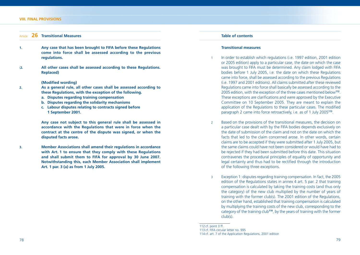#### **VIII. FINAL PROVISIONS**

## Article **26 Transitional Measures**

- **1. Any case that has been brought to FIFA before these Regulations come into force shall be assessed according to the previous regulations.**
- (**2. All other cases shall be assessed according to these Regulations. Replaced)**

## **(Modified wording)**

- **2. As a general rule, all other cases shall be assessed according to these Regulations, with the exception of the following.**
	- **a. Disputes regarding training compensation**
	- **b. Disputes regarding the solidarity mechanisms**
	- **c. Labour disputes relating to contracts signed before 1 September 2001.**

 **Any case not subject to this general rule shall be assessed in accordance with the Regulations that were in force when the contract at the centre of the dispute was signed, or when the disputed facts arose.**

**3. Member Associations shall amend their regulations in accordance with Art. 1 to ensure that they comply with these Regulations and shall submit them to FIFA for approval by 30 June 2007. Notwithstanding this, each Member Association shall implement Art. 1 par. 3 (a) as from 1 July 2005.**

# **Table of contents**

#### **Transitional measures**

- In order to establish which regulations (i.e. 1997 edition, 2001 edition or 2005 edition) apply to a particular case, the date on which the case was brought to FIFA must be determined. Any claim lodged with FIFA bodies before 1 July 2005, i.e. the date on which these Regulations came into force, shall be assessed according to the previous Regulations (i.e. 1997 and 2001 editions). All claims submitted after these reviewed Regulations came into force shall basically be assessed according to the 2005 edition, with the exception of the three cases mentioned below**<sup>112</sup>**. These exceptions are clarifications and were approved by the Executive Committee on 10 September 2005. They are meant to explain the application of the Regulations to these particular cases. The modified paragraph 2 came into force retroactively, i.e. as of 1 July 2005**<sup>113</sup>**.
- 2 Based on the provisions of the transitional measures, the decision on a particular case dealt with by the FIFA bodies depends exclusively on the date of submission of the claim and not on the date on which the facts that led to the claim concerned arose. In other words, certain claims are to be accepted if they were submitted after 1 July 2005, but the same claims could have not been considered or would have had to be rejected if they had been submitted before this date. This situation contravenes the procedural principles of equality of opportunity and legal certainty and thus had to be rectified through the introduction of the following three exceptions.
- 3 Exception 1: disputes regarding training compensation. In fact, the 2005 edition of the Regulations states in annex 4 art. 5 par. 2 that training compensation is calculated by taking the training costs (and thus only the category) of the new club multiplied by the number of years of training with the former club(s). The 2001 edition of the Regulations, on the other hand, established that training compensation is calculated by multiplying the training costs of the new club, corresponding to the category of the training club**<sup>114</sup>**, by the years of training with the former club(s).

<sup>112</sup>  $cf.$  point 3  $ff.$ 

<sup>113</sup> cf. FIFA circular letter no. 995

<sup>114</sup> cf. art. 7 of the Application Regulations, 2001 edition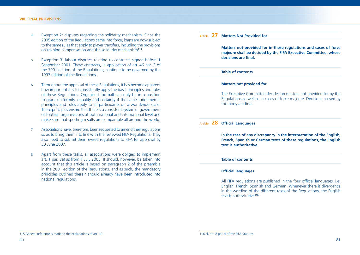- 4 Exception 2: disputes regarding the solidarity mechanism. Since the 2005 edition of the Regulations came into force, loans are now subject to the same rules that apply to player transfers, including the provisions on training compensation and the solidarity mechanism**<sup>115</sup>**.
- 5 Exception 3: labour disputes relating to contracts signed before 1 September 2001. These contracts, in application of art. 46 par. 3 of the 2001 edition of the Regulations, continue to be governed by the 1997 edition of the Regulations.
- 6 Throughout the appraisal of these Regulations, it has become apparent how important it is to consistently apply the basic principles and rules of these Regulations. Organised football can only be in a position to grant uniformity, equality and certainty if the same fundamental principles and rules apply to all participants on a worldwide scale. These principles ensure that there is a consistent system of government of football organisations at both national and international level and make sure that sporting results are comparable all around the world.
- 7 Associations have, therefore, been requested to amend their regulations so as to bring them into line with the reviewed FIFA Regulations. They also need to submit their revised regulations to FIFA for approval by 30 June 2007.
- 8 Apart from these tasks, all associations were obliged to implement art. 1 par. 3a) as from 1 July 2005. It should, however, be taken into account that this article is based on paragraph 2 of the preamble in the 2001 edition of the Regulations, and as such, the mandatory principles outlined therein should already have been introduced into national regulations.

# Article **27 Matters Not Provided for**

 **Matters not provided for in these regulations and cases of force majeure shall be decided by the FIFA Executive Committee, whose**  decisions are final.

#### **Table of contents**

## **Matters not provided for**

 The Executive Committee decides on matters not provided for by the Regulations as well as in cases of force majeure. Decisions passed by this body are final.

# Article 28 Official Languages

 **In the case of any discrepancy in the interpretation of the English, French, Spanish or German texts of these regulations, the English text is authoritative.**

## **Table of contents**

## **Official languages**

All FIFA regulations are published in the four official languages, i.e. English, French, Spanish and German. Whenever there is divergence in the wording of the different texts of the Regulations, the English text is authoritative**<sup>116</sup>**.

<sup>115</sup> General reference is made to the explanations of art. 10.

<sup>116</sup> cf. art. 8 par. 4 of the FIFA Statutes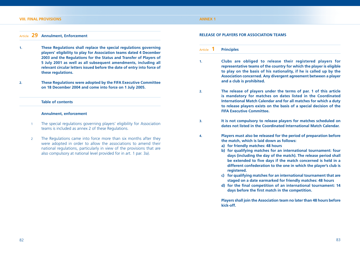# Article **29 Annulment, Enforcement**

- **1. These Regulations shall replace the special regulations governing players' eligibility to play for Association teams dated 4 December 2003 and the Regulations for the Status and Transfer of Players of 5 July 2001 as well as all subsequent amendments, including all relevant circular letters issued before the date of entry into force of these regulations.**
- **2. These Regulations were adopted by the FIFA Executive Committee on 18 December 2004 and come into force on 1 July 2005.**

#### **Table of contents**

#### **Annulment, enforcement**

- The special regulations governing players' eligibility for Association teams is included as annex 2 of these Regulations.
- 2 The Regulations came into force more than six months after they were adopted in order to allow the associations to amend their national regulations, particularly in view of the provisions that are also compulsory at national level provided for in art. 1 par. 3a).

#### **RELEASE OF PLAYERS FOR ASSOCIATION TEAMS**

## Article **1 Principles**

- **1. Clubs are obliged to release their registered players for representative teams of the country for which the player is eligible to play on the basis of his nationality, if he is called up by the Association concerned. Any divergent agreement between a player and a club is prohibited.**
- **2. The release of players under the terms of par. 1 of this article is mandatory for matches on dates listed in the Coordinated International Match Calendar and for all matches for which a duty to release players exists on the basis of a special decision of the FIFA Executive Committee.**
- **3. It is not compulsory to release players for matches scheduled on dates not listed in the Coordinated International Match Calendar.**
- **4. Players must also be released for the period of preparation before the match, which is laid down as follows:**
	- **a) for friendly matches: 48 hours**
	- **b) for qualifying matches for an international tournament: four days (including the day of the match). The release period shall**  be extended to five days if the match concerned is held in a **different confederation to the one in which the player's club is registered.**
	- **c) for qualifying matches for an international tournament that are staged on a date earmarked for friendly matches: 48 hours**
	- **d)** for the final competition of an international tournament: 14 days before the first match in the competition.

 **Players shall join the Association team no later than 48 hours before kick-off.**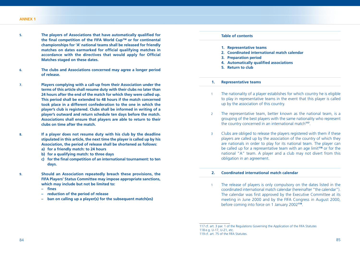- **5.** The players of Associations that have automatically qualified for the final competition of the FIFA World Cup™ or for continental **championships for 'A' national teams shall be released for friendly**  matches on dates earmarked for official qualifying matches in accordance with the directives that would apply for Official **Matches staged on these dates.**
- **6. The clubs and Associations concerned may agree a longer period of release.**
- **7. Players complying with a call-up from their Association under the terms of this article shall resume duty with their clubs no later than 24 hours after the end of the match for which they were called up. This period shall be extended to 48 hours if the match concerned took place in a different confederation to the one in which the player's club is registered. Clubs shall be informed in writing of a player's outward and return schedule ten days before the match. Associations shall ensure that players are able to return to their clubs on time after the match.**
- **8. If a player does not resume duty with his club by the deadline stipulated in this article, the next time the player is called up by his Association, the period of release shall be shortened as follows:**
	- **a) for a friendly match: to 24 hours**
	- **b) for a qualifying match: to three days**
	- **c)** for the final competition of an international tournament: to ten **days.**
- **9. Should an Association repeatedly breach these provisions, the FIFA Players' Status Committee may impose appropriate sanctions, which may include but not be limited to:**
	- **fi nes**
	- **reduction of the period of release**
	- **ban on calling up a player(s) for the subsequent match(es)**
- **Table of contents 1. Representative teams 2. Coordinated international match calendar 3. Preparation period 4. Automatically qualified associations 5. Return to club 1. Representative teams**
- 1 The nationality of a player establishes for which country he is eligible to play in representative teams in the event that this player is called up by the association of this country.
- 2 The representative team, better known as the national team, is a grouping of the best players with the same nationality who represent the country concerned in an international match**<sup>117</sup>**.
- 3 Clubs are obliged to release the players registered with them if these players are called up by the association of the country of which they are nationals in order to play for its national team. The player can be called up for a representative team with an age limit**<sup>118</sup>** or for the national "A" team. A player and a club may not divert from this obligation in an agreement.

# **2. Coordinated international match calendar**

1 The release of players is only compulsory on the dates listed in the coordinated international match calendar (hereinafter "the calendar"). The calendar was first approved by the Executive Committee at its meeting in June 2000 and by the FIFA Congress in August 2000, before coming into force on 1 January 2002**<sup>119</sup>**.

117 cf. art. 3 par. 1 of the Regulations Governing the Application of the FIFA Statutes 118 e.g. U-17, U-21, etc. 119 cf. art. 75 of the FIFA Statutes.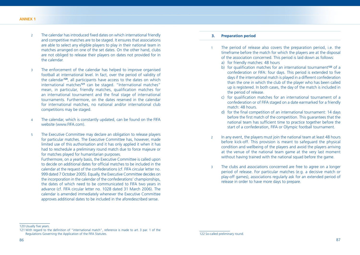- 2 The calendar has introduced fixed dates on which international friendly and competitive matches are to be staged. It ensures that associations are able to select any eligible players to play in their national team in matches arranged on one of the set dates. On the other hand, clubs are not obliged to release their players on dates not provided for in the calendar.
- 3 The enforcement of the calendar has helped to improve organised football at international level. In fact, over the period of validity of the calendar**<sup>120</sup>**, all participants have access to the dates on which international matches**<sup>121</sup>** can be staged. "International matches" mean, in particular, friendly matches, qualification matches for an international tournament and the final stage of international tournaments. Furthermore, on the dates reserved in the calendar for international matches, no national and/or international club competitions may be staged.
- 4 The calendar, which is constantly updated, can be found on the FIFA website (www.FIFA.com).
- 5 The Executive Committee may declare an obligation to release players for particular matches. The Executive Committee has, however, made limited use of this authorisation and it has only applied it when it has had to reschedule a preliminary round match due to force majeure or for matches played for humanitarian purposes.

 Furthermore, on a yearly basis, the Executive Committee is called upon to decide on additional dates for official matches to be included in the calendar at the request of the confederations (cf. FIFA circular letter no. 999 dated 7 October 2005). Equally, the Executive Committee decides on the incorporation in the calendar of the confederations' championships, the dates of which need to be communicated to FIFA two years in advance (cf. FIFA circular letter no. 1028 dated 31 March 2006). The calendar is amended immediately whenever the Executive Committee approves additional dates to be included in the aforedescribed sense.

## **3. Preparation period**

- 1 The period of release also covers the preparation period, i.e. the timeframe before the match for which the players are at the disposal of the association concerned. This period is laid down as follows:
	- a) for friendly matches: 48 hours
	- b) for qualification matches for an international tournament<sup>122</sup> of a confederation or FIFA: four days. This period is extended to five days if the international match is played in a different confederation than the one in which the club of the player who has been called up is registered. In both cases, the day of the match is included in the period of release.
	- c) for qualification matches for an international tournament of a confederation or of FIFA staged on a date earmarked for a friendly match: 48 hours.
	- d) for the final competition of an international tournament: 14 days before the first match of the competition. This quarantees that the national team has sufficient time to practice together before the start of a confederation, FIFA or Olympic football tournament.
- 2 In any event, the players must join the national team at least 48 hours before kick-off. This provision is meant to safeguard the physical condition and wellbeing of the players and avoid the players arriving at the venue of the national team game at the very last moment without having trained with the national squad before the game.
- 3 The clubs and associations concerned are free to agree on a longer period of release. For particular matches (e.g. a decisive match or play-off games), associations regularly ask for an extended period of release in order to have more days to prepare.

<sup>120</sup> Usually five years.

<sup>121</sup> With regard to the definition of "international match", reference is made to art. 3 par. 1 of the Regulations Governing the Application of the FIFA Statutes.

<sup>122</sup> So-called preliminary round.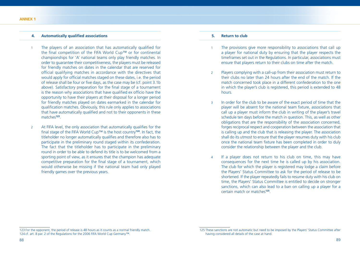## **4.** Automatically qualified associations

- 1 The players of an association that has automatically qualified for the final competition of the FIFA World Cup™ or for continental championships for 'A' national teams only play friendly matches. In order to guarantee their competitiveness, the players must be released for friendly matches on dates in the calendar that are reserved for official qualifying matches in accordance with the directives that would apply for official matches staged on these dates, i.e. the period of release shall be four or five days, as the case may be (cf. point 3.1b) above). Satisfactory preparation for the final stage of a tournament is the reason why associations that have qualified ex officio have the opportunity to have their players at their disposal for a longer period for friendly matches played on dates earmarked in the calendar for qualification matches. Obviously, this rule only applies to associations that have automatically qualified and not to their opponents in these matches**<sup>123</sup>**.
- 2 At FIFA level, the only association that automatically qualifies for the final stage of the FIFA World Cup<sup>™</sup> is the host country<sup>124</sup>. In fact, the titleholder no longer automatically qualifies and therefore also has to participate in the preliminary round staged within its confederation. The fact that the titleholder has to participate in the preliminary round in order to be able to defend its title is to be welcomed from a sporting point of view, as it ensures that the champion has adequate competitive preparation for the final stage of a tournament, which would otherwise be missing if the national team had only played friendly games over the previous years.

## **5. Return to club**

- 1 The provisions give more responsibility to associations that call up a player for national duty by ensuring that the player respects the timeframes set out in the Regulations. In particular, associations must ensure that players return to their clubs on time after the match.
- 2 Players complying with a call-up from their association must return to their clubs no later than 24 hours after the end of the match. If the match concerned took place in a different confederation to the one in which the player's club is registered, this period is extended to 48 hours.
- 3 In order for the club to be aware of the exact period of time that the player will be absent for the national team fixture, associations that call up a player must inform the club in writing of the player's travel schedule ten days before the match in question. This, as well as other obligations that are the responsibility of the association concerned, forges reciprocal respect and cooperation between the association that is calling up and the club that is releasing the player. The association shall do its utmost to ensure that the player resumes duty with his club once the national team fixture has been completed in order to duly consider the relationship between the player and the club.
- 4 If a player does not return to his club on time, this may have consequences for the next time he is called up by his association. The club for which the player is registered may lodge a claim before the Players' Status Committee to ask for the period of release to be shortened. If the player repeatedly fails to resume duty with his club on time, the Players' Status Committee is entitled to decide on stronger sanctions, which can also lead to a ban on calling up a player for a certain match or matches**<sup>125</sup>**.

<sup>123</sup> For the opponent, the period of release is 48 hours as it counts as a normal friendly match. 124 cf. art. 8 par. 2 of the Regulations for the 2006 FIFA World Cup Germany™.

<sup>125</sup> These sanctions are not automatic but need to be imposed by the Players' Status Committee after having considered all details of the case at hand.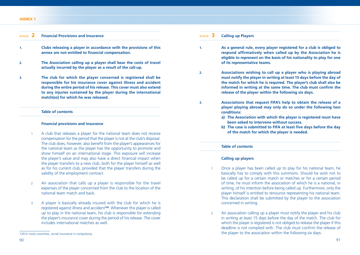## Article **2 Financial Provisions and Insurance**

- **1. Clubs releasing a player in accordance with the provisions of this**  annex are not entitled to financial compensation.
- **2. The Association calling up a player shall bear the costs of travel actually incurred by the player as a result of the call-up.**
- **3. The club for which the player concerned is registered shall be responsible for his insurance cover against illness and accident during the entire period of his release. This cover must also extend to any injuries sustained by the player during the international match(es) for which he was released.**

# **Table of contents**

### **Financial provisions and insurance**

- 1 A club that releases a player for the national team does not receive compensation for the period that the player is not at the club's disposal. The club does, however, also benefit from the player's appearances for the national team as the player has the opportunity to promote and show himself on an international stage. This exposure will increase the player's value and may also have a direct financial impact when the player transfers to a new club, both for the player himself as well as for his current club, provided that the player transfers during the validity of the employment contract.
- 2 An association that calls up a player is responsible for the travel expenses of the player concerned from the club to the location of the national team match and back.
- 3 A player is basically already insured with the club for which he is registered against illness and accident**<sup>126</sup>**. Whenever this player is called up to play in the national team, his club is responsible for extending the player's insurance cover during the period of his release. The cover includes international matches as well.

# Article **3 Calling up Players**

- **1. As a general rule, every player registered for a club is obliged to**  respond affirmatively when called up by the Association he is **eligible to represent on the basis of his nationality to play for one of its representative teams.**
- **2. Associations wishing to call up a player who is playing abroad must notify the player in writing at least 15 days before the day of the match for which he is required. The player's club shall also be**  informed in writing at the same time. The club must confirm the **release of the player within the following six days.**
- **3. Associations that request FIFA's help to obtain the release of a player playing abroad may only do so under the following two conditions:**
	- **a) The Association with which the player is registered must have been asked to intervene without success.**
	- **b)** The case is submitted to FIFA at least five days before the day **of the match for which the player is needed.**

#### **Table of contents**

## **Calling up players**

- 1 Once a player has been called up to play for his national team, he basically has to comply with this summons. Should he wish not to be called up for a certain match or matches or for a certain period of time, he must inform the association of which he is a national, in writing, of his intention before being called up. Furthermore, only the player himself is entitled to renounce representing his national team. This declaration shall be submitted by the player to the association concerned in writing.
- 2 An association calling up a player must notify the player and his club in writing at least 15 days before the day of the match. The club for which the player is registered is not obliged to release the player if this deadline is not complied with. The club must confirm the release of the player to the association within the following six days.

<sup>126</sup> In most countries, social insurance is compulsory.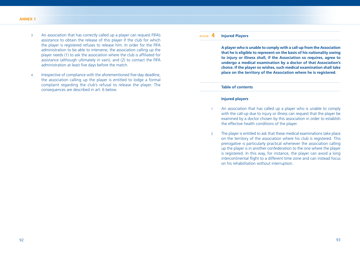- 3 An association that has correctly called up a player can request FIFA's assistance to obtain the release of this player if the club for which the player is registered refuses to release him. In order for the FIFA administration to be able to intervene, the association calling up the player needs (1) to ask the association where the club is affiliated for assistance (although ultimately in vain), and (2) to contact the FIFA administration at least five days before the match.
- 4 Irrespective of compliance with the aforementioned five-day deadline, the association calling up the player is entitled to lodge a formal complaint regarding the club's refusal to release the player. The consequences are described in art. 6 below.

# Article **4 Injured Players**

 **A player who is unable to comply with a call-up from the Association that he is eligible to represent on the basis of his nationality owing to injury or illness shall, if the Association so requires, agree to undergo a medical examination by a doctor of that Association's choice. If the player so wishes, such medical examination shall take place on the territory of the Association where he is registered.**

# **Table of contents**

# **Injured players**

- 1 An association that has called up a player who is unable to comply with the call-up due to injury or illness can request that the player be examined by a doctor chosen by this association in order to establish the effective health conditions of the player.
- 2 The player is entitled to ask that these medical examinations take place on the territory of the association where his club is registered. This prerogative is particularly practical whenever the association calling up the player is in another confederation to the one where the player is registered. In this way, for instance, the player can avoid a long intercontinental flight to a different time zone and can instead focus on his rehabilitation without interruption.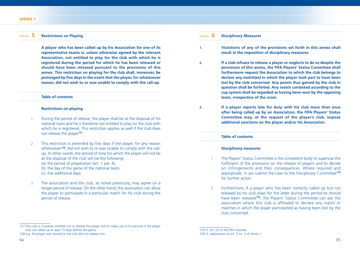# Article **5 Restrictions on Playing**

 **A player who has been called up by his Association for one of its representative teams is, unless otherwise agreed by the relevant Association, not entitled to play for the club with which he is registered during the period for which he has been released or should have been released pursuant to the provisions of this annex. This restriction on playing for the club shall, moreover, be**  prolonged by five days in the event that the player, for whatsoever **reason, did not wish to or was unable to comply with the call-up.**

# **Table of contents**

#### **Restrictions on playing**

- 1 During the period of release, the player shall be at the disposal of his national team and he is therefore not entitled to play for the club with which he is registered. This restriction applies as well if the club does not release the player**<sup>127</sup>**.
- 2 This restriction is extended by five days if the player, for any reason whatsoever**128**, did not wish to or was unable to comply with the callup. In other words, the period of time for which the player will not be at the disposal of the club will be the following: (a) the period of preparation (art. 1 par. 4), (b) the day of the game of the national team, (c) five additional days.
- 3 The association and the club, as noted previously, may agree on a longer period of release. On the other hand, the association can allow the player to participate in a particular match for his club during the period of release.

| $\mathbf{1}$ . | Violations of any of the provisions set forth in this annex shall<br>result in the imposition of disciplinary measures.                                                                                                                                                              |  |  |  |
|----------------|--------------------------------------------------------------------------------------------------------------------------------------------------------------------------------------------------------------------------------------------------------------------------------------|--|--|--|
| 2.             | If a club refuses to release a player or neglects to do so despite the<br>provisions of this annex, the FIFA Players' Status Committee shall<br>furthermore request the Association to which the club belongs to<br>declare any match(es) in which the player took part to have been |  |  |  |

**bart to have been lost by the club concerned. Any points thus gained by the club in question shall be forfeited. Any match contested according to the cup system shall be regarded as having been won by the opposing team, irrespective of the score.**

**3. If a player reports late for duty with his club more than once after being called up by an Association, the FIFA Players' Status Committee may, at the request of the player's club, impose additional sanctions on the player and/or his Association.**

#### **Table of contents**

Article **6 Disciplinary Measures**

#### **Disciplinary measures**

- 1 The Players' Status Committee is the competent body to supervise the fulfilment of the provisions on the release of players and to decide on infringements and their consequences. Where required and appropriate, it can submit the case to the Disciplinary Committee**<sup>129</sup>** for further action.
- 2 Furthermore, if a player who has been correctly called up but not released by his club plays for the latter during the period he should have been released**<sup>130</sup>**, the Players' Status Committee can ask the association where this club is affiliated to declare any match or matches in which the player participated as having been lost by the club concerned.

<sup>127</sup> The club is, however, entitled not to release the player and to make use of his services if the player was not called up at least 15 days before the game.

<sup>128</sup> e.g. the player was injured or the club did not release him.

<sup>129</sup> cf. art. 55 of the FIFA Statutes

<sup>130</sup> cf. explanation of art. 5 no. 2 of annex 1.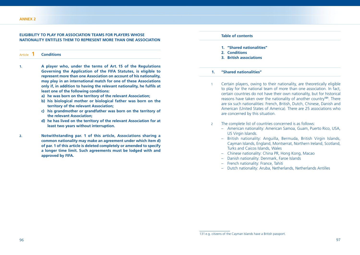## **ELIGIBILITY TO PLAY FOR ASSOCIATION TEAMS FOR PLAYERS WHOSE NATIONALITY ENTITLES THEM TO REPRESENT MORE THAN ONE ASSOCIATION**

Article **1 Conditions**

- **1. A player who, under the terms of Art. 15 of the Regulations Governing the Application of the FIFA Statutes, is eligible to represent more than one Association on account of his nationality, may play in an international match for one of these Associations**  only if, in addition to having the relevant nationality, he fulfils at **least one of the following conditions:**
	- **a) he was born on the territory of the relevant Association;**
	- **b) his biological mother or biological father was born on the territory of the relevant Association;**
	- **c) his grandmother or grandfather was born on the territory of the relevant Association;**
	- **d) he has lived on the territory of the relevant Association for at least two years without interruption.**
- **2. Notwithstanding par. 1 of this article, Associations sharing a common nationality may make an agreement under which item d) of par. 1 of this article is deleted completely or amended to specify a longer time limit. Such agreements must be lodged with and approved by FIFA.**

#### **Table of contents**

- **1. "Shared nationalities"**
- **2. Conditions**
- **3. British associations**

#### **1. "Shared nationalities"**

- 1 Certain players, owing to their nationality, are theoretically eligible to play for the national team of more than one association. In fact, certain countries do not have their own nationality, but for historical reasons have taken over the nationality of another country**<sup>131</sup>**. There are six such nationalities: French, British, Dutch, Chinese, Danish and American (United States of America). There are 25 associations who are concerned by this situation.
- 2 The complete list of countries concerned is as follows:
	- American nationality: American Samoa, Guam, Puerto Rico, USA, US Virgin Islands.
	- British nationality: Anguilla, Bermuda, British Virgin Islands, Cayman Islands, England, Montserrat, Northern Ireland, Scotland, Turks and Caicos Islands, Wales
	- Chinese nationality: China PR, Hong Kong, Macao
	- Danish nationality: Denmark, Faroe Islands
	- French nationality: France, Tahiti
	- Dutch nationality: Aruba, Netherlands, Netherlands Antilles

<sup>131</sup> e.g. citizens of the Cayman Islands have a British passport.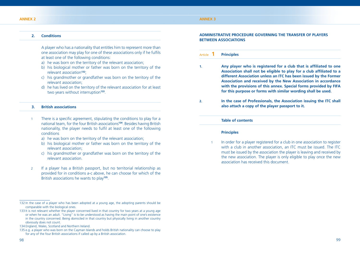## **2. Conditions**

 A player who has a nationality that entitles him to represent more than one association may play for one of these associations only if he fulfils at least one of the following conditions:

- a) he was born on the territory of the relevant association:
- b) his biological mother or father was born on the territory of the relevant association**<sup>132</sup>**;
- c) his grandmother or grandfather was born on the territory of the relevant association;
- d) he has lived on the territory of the relevant association for at least two years without interruption**<sup>133</sup>**.

## **3. British associations**

- 1 There is a specific agreement, stipulating the conditions to play for a national team, for the four British associations**<sup>134</sup>**. Besides having British nationality, the player needs to fulfil at least one of the following conditions
	- a) he was born on the territory of the relevant association;
	- b) his biological mother or father was born on the territory of the relevant association;
	- c) his grandmother or grandfather was born on the territory of the relevant association.
- 2 If a player has a British passport, but no territorial relationship as provided for in conditions a-c above, he can choose for which of the British associations he wants to play**<sup>135</sup>**.

## **ADMINISTRATIVE PROCEDURE GOVERNING THE TRANSFER OF PLAYERS BETWEEN ASSOCIATIONS**

# Article **1 Principles**

- **1.** Any player who is registered for a club that is affiliated to one Association shall not be eligible to play for a club affiliated to a **different Association unless an ITC has been issued by the Former Association and received by the New Association in accordance with the provisions of this annex. Special forms provided by FIFA for this purpose or forms with similar wording shall be used.**
- **2. In the case of Professionals, the Association issuing the ITC shall also attach a copy of the player passport to it.**

## **Table of contents**

## **Principles**

In order for a player registered for a club in one association to register with a club in another association, an ITC must be issued. The ITC must be issued by the association the player is leaving and received by the new association. The player is only eligible to play once the new association has received this document.

<sup>132</sup> In the case of a player who has been adopted at a young age, the adopting parents should be comparable with the biological ones.

<sup>133</sup> It is not relevant whether the player concerned lived in that country for two years at a young age or when he was an adult. "Living" is to be understood as having the main point of one's existence in the country concerned. Being domiciled in that country but physically living in another country obviously does not count.

<sup>134</sup> England, Wales, Scotland and Northern Ireland.

<sup>135</sup> e.g. a player who was born on the Cayman Islands and holds British nationality can choose to play for any of the four British associations if called up by a British association.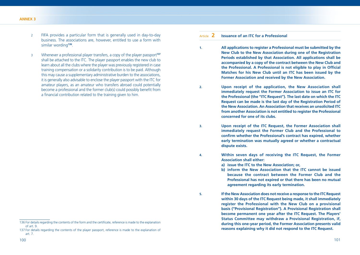- 2 FIFA provides a particular form that is generally used in day-to-day business. The associations are, however, entitled to use a form with similar wording**<sup>136</sup>**.
- 3 Whenever a professional player transfers, a copy of the player passport**<sup>137</sup>** shall be attached to the ITC. The player passport enables the new club to learn about all the clubs where the player was previously registered in case training compensation or a solidarity contribution is to be paid. Although this may cause a supplementary administrative burden to the associations, it is generally also advisable to enclose the player passport with the ITC for amateur players, as an amateur who transfers abroad could potentially become a professional and the former club(s) could possibly benefit from a financial contribution related to the training given to him.

# Article **2 Issuance of an ITC for a Professional**

- **1. All applications to register a Professional must be submitted by the New Club to the New Association during one of the Registration Periods established by that Association. All applications shall be accompanied by a copy of the contract between the New Club and**  the Professional. A Professional is not eligible to play in Official **Matches for his New Club until an ITC has been issued by the Former Association and received by the New Association.**
- **2. Upon receipt of the application, the New Association shall immediately request the Former Association to issue an ITC for the Professional (the "ITC Request"). The last date on which the ITC Request can be made is the last day of the Registration Period of the New Association. An Association that receives an unsolicited ITC from another Association is not entitled to register the Professional concerned for one of its clubs.**

**3. Upon receipt of the ITC Request, the Former Association shall immediately request the Former Club and the Professional to**  confirm whether the Professional's contract has expired, whether **early termination was mutually agreed or whether a contractual dispute exists.**

**4. Within seven days of receiving the ITC Request, the Former Association shall either:**

**a) issue the ITC to the New Association; or,**

**b) inform the New Association that the ITC cannot be issued because the contract between the Former Club and the Professional has not expired or that there has been no mutual agreement regarding its early termination.**

<sup>136</sup> For details regarding the contents of the form and the certificate, reference is made to the explanation of art. 9.

<sup>137</sup> For details regarding the contents of the player passport, reference is made to the explanation of art. 7.

**<sup>5.</sup> If the New Association does not receive a response to the ITC Request within 30 days of the ITC Request being made, it shall immediately register the Professional with the New Club on a provisional basis ("Provisional Registration"). A Provisional Registration shall become permanent one year after the ITC Request. The Players' Status Committee may withdraw a Provisional Registration, if, during this one-year period, the Former Association presents valid reasons explaining why it did not respond to the ITC Request.**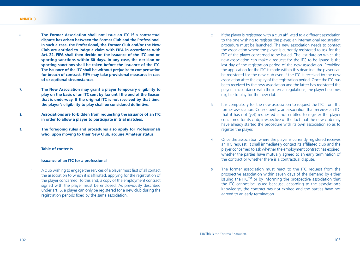- **6. The Former Association shall not issue an ITC if a contractual dispute has arisen between the Former Club and the Professional. In such a case, the Professional, the Former Club and/or the New Club are entitled to lodge a claim with FIFA in accordance with Art. 22. FIFA shall then decide on the issuance of the ITC and on sporting sanctions within 60 days. In any case, the decision on sporting sanctions shall be taken before the issuance of the ITC. The issuance of the ITC shall be without prejudice to compensation for breach of contract. FIFA may take provisional measures in case of exceptional circumstances.**
- **7. The New Association may grant a player temporary eligibility to play on the basis of an ITC sent by fax until the end of the Season that is underway. If the original ITC is not received by that time,**  the player's eligibility to play shall be considered definitive.
- **8. Associations are forbidden from requesting the issuance of an ITC in order to allow a player to participate in trial matches.**
- **9. The foregoing rules and procedures also apply for Professionals who, upon moving to their New Club, acquire Amateur status.**

## **Table of contents**

## **Issuance of an ITC for a professional**

A club wishing to engage the services of a player must first of all contact the association to which it is affiliated, applying for the registration of the player concerned. To this end, a copy of the employment contract signed with the player must be enclosed. As previously described under art. 6, a player can only be registered for a new club during the registration periods fixed by the same association.

- 2 If the player is registered with a club affiliated to a different association to the one wishing to register the player, an international registration procedure must be launched. The new association needs to contact the association where the player is currently registered to ask for the ITC of the player concerned to be issued. The last date on which the new association can make a request for the ITC to be issued is the last day of the registration period of the new association. Providing the application for the ITC is made within this deadline, the player can be registered for the new club even if the ITC is received by the new association after the expiry of the registration period. Once the ITC has been received by the new association and the latter has registered the player in accordance with the internal regulations, the player becomes eligible to play for the new club.
- 3 It is compulsory for the new association to request the ITC from the former association. Consequently, an association that receives an ITC that it has not (yet) requested is not entitled to register the player concerned for its club, irrespective of the fact that the new club may have already started the procedure with its own association so as to register the player.
- 4 Once the association where the player is currently registered receives an ITC request, it shall immediately contact its affiliated club and the player concerned to ask whether the employment contract has expired, whether the parties have mutually agreed to an early termination of the contract or whether there is a contractual dispute.
- 5 The former association must react to the ITC request from the prospective association within seven days of the demand by either issuing the ITC**<sup>138</sup>** or by informing the prospective association that the ITC cannot be issued because, according to the association's knowledge, the contract has not expired and the parties have not agreed to an early termination.

<sup>138</sup> This is the "normal" situation.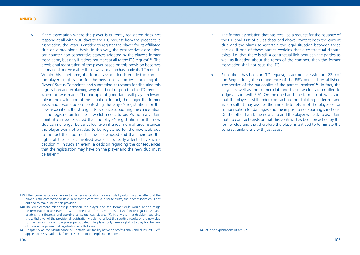6 If the association where the player is currently registered does not respond at all within 30 days to the ITC request from the prospective association, the latter is entitled to register the player for its affiliated club on a provisional basis. In this way, the prospective association can counter non-cooperative stances adopted by the player's former association, but only if it does not react at all to the ITC request**<sup>139</sup>**. The provisional registration of the player based on this provision becomes permanent one year after the new association has made its ITC request. Within this timeframe, the former association is entitled to contest the player's registration for the new association by contacting the Players' Status Committee and submitting its reasons for disputing this registration and explaining why it did not respond to the ITC request when this was made. The principle of good faith will play a relevant role in the evaluation of this situation. In fact, the longer the former association waits before contesting the player's registration for the new association, the stronger its evidence supporting the cancellation of the registration for the new club needs to be. As from a certain point, it can be expected that the player's registration for the new club can no longer be cancelled, even if under normal circumstances the player was not entitled to be registered for the new club due to the fact that too much time has elapsed and that therefore the rights of the parties involved would be directly affected by such a decision**<sup>140</sup>**. In such an event, a decision regarding the consequences that the registration may have on the player and the new club must be taken**<sup>141</sup>**.

- 7 The former association that has received a request for the issuance of the ITC shall first of all, as described above, contact both the current club and the player to ascertain the legal situation between these parties. If one of these parties explains that a contractual dispute exists, i.e. that there is still a contractual link between the parties as well as litigation about the terms of the contract, then the former association shall not issue the ITC.
- 8 Since there has been an ITC request, in accordance with art. 22a) of the Regulations, the competence of the FIFA bodies is established irrespective of the nationality of the parties involved**<sup>142</sup>**. In fact, the player as well as the former club and the new club are entitled to lodge a claim with FIFA. On the one hand, the former club will claim that the player is still under contract but not fulfilling its terms, and as a result, it may ask for the immediate return of the player or for compensation for damages and the imposition of sporting sanctions. On the other hand, the new club and the player will ask to ascertain that no contract exists or that this contract has been breached by the former club and that therefore the player is entitled to terminate the contract unilaterally with just cause.

<sup>139</sup> If the former association replies to the new association, for example by informing the latter that the player is still contracted to its club or that a contractual dispute exists, the new association is not entitled to make use of this provision.

<sup>140</sup> The employment relationship between the player and the former club would at this stage be terminated in any event. It will be the task of the DRC to establish if there is just cause and establish the financial and sporting consequences (cf. art. 17). In any event, a decision regarding the withdrawal of the provisional registration would not affect the sporting results of the new club for the games in which the player participated. The player only loses eligibility to play for the new club once the provisional registration is withdrawn.

<sup>141</sup> Chapter IV on the Maintenance of Contractual Stability between professionals and clubs (art. 17ff) applies to this situation. Reference is made to the explanation above.

<sup>142</sup> cf. also explanations of art. 22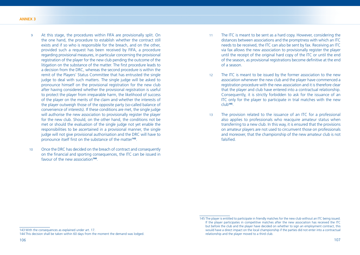- 9 At this stage, the procedures within FIFA are provisionally split. On the one hand, the procedure to establish whether the contract still exists and if so who is responsible for the breach, and on the other, provided such a request has been received by FIFA, a procedure regarding provisional measures, in particular concerning the provisional registration of the player for the new club pending the outcome of the litigation on the substance of the matter. The first procedure leads to a decision from the DRC, whereas the second procedure is within the remit of the Players' Status Committee that has entrusted the single judge to deal with such matters. The single judge will be asked to pronounce himself on the provisional registration for the new club after having considered whether the provisional registration is useful to protect the player from irreparable harm, the likelihood of success of the player on the merits of the claim and whether the interests of the player outweigh those of the opposite party (so-called balance of convenience of interests). If these conditions are met, the single judge will authorise the new association to provisionally register the player for the new club. Should, on the other hand, the conditions not be met or should the evaluation of the single judge not yet enable the responsibilities to be ascertained in a provisional manner, the single judge will not give provisional authorisation and the DRC will have to pronounce itself first on the substance of the matter<sup>143</sup>.
- 10 Once the DRC has decided on the breach of contract and consequently on the financial and sporting consequences, the ITC can be issued in favour of the new association**<sup>144</sup>**.
- 11 The ITC is meant to be sent as a hard copy. However, considering the distances between associations and the promptness with which an ITC needs to be received, the ITC can also be sent by fax. Receiving an ITC via fax allows the new association to provisionally register the player until the receipt of the original hard copy of the ITC or until the end of the season, as provisional registrations become definitive at the end of a season.
- 12 The ITC is meant to be issued by the former association to the new association whenever the new club and the player have commenced a registration procedure with the new association and it is therefore clear that the player and club have entered into a contractual relationship. Consequently, it is strictly forbidden to ask for the issuance of an ITC only for the player to participate in trial matches with the new club**<sup>145</sup>**.
- 13 The provision related to the issuance of an ITC for a professional also applies to professionals who reacquire amateur status when transferring to a new club. In this way, it is ensured that the provisions on amateur players are not used to circumvent those on professionals and moreover, that the championship of the new amateur club is not falsified

<sup>145</sup> The player is entitled to participate in friendly matches for the new club without an ITC being issued. If the player participates in competitive matches after the new association has received the ITC but before the club and the player have decided on whether to sign an employment contract, this would have a direct impact on the local championship if the parties did not enter into a contractual relationship and the player moved to a third club.

<sup>143</sup> With the consequences as explained under art. 17.

<sup>144</sup> This decision shall be taken within 60 days from the moment the demand was lodged.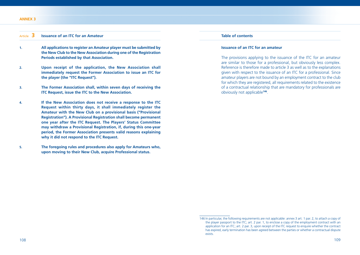## Article **3 Issuance of an ITC for an Amateur**

- **1. All applications to register an Amateur player must be submitted by the New Club to the New Association during one of the Registration Periods established by that Association.**
- **2. Upon receipt of the application, the New Association shall immediately request the Former Association to issue an ITC for the player (the "ITC Request").**
- **3. The Former Association shall, within seven days of receiving the ITC Request, issue the ITC to the New Association.**
- **4. If the New Association does not receive a response to the ITC Request within thirty days, it shall immediately register the Amateur with the New Club on a provisional basis ("Provisional Registration"). A Provisional Registration shall become permanent one year after the ITC Request. The Players' Status Committee may withdraw a Provisional Registration, if, during this one-year period, the Former Association presents valid reasons explaining why it did not respond to the ITC Request.**
- **5. The foregoing rules and procedures also apply for Amateurs who, upon moving to their New Club, acquire Professional status.**

# **Table of contents**

#### **Issuance of an ITC for an amateur**

 The provisions applying to the issuance of the ITC for an amateur are similar to those for a professional, but obviously less complex. Reference is therefore made to article 3 as well as to the explanations given with respect to the issuance of an ITC for a professional. Since amateur players are not bound by an employment contract to the club for which they are registered, all requirements related to the existence of a contractual relationship that are mandatory for professionals are obviously not applicable**<sup>146</sup>**.

<sup>146</sup> In particular, the following requirements are not applicable: annex 3 art. 1 par. 2, to attach a copy of the player passport to the ITC; art. 2 par. 1, to enclose a copy of the employment contract with an application for an ITC; art. 2 par. 3, upon receipt of the ITC request to enquire whether the contract has expired, early termination has been agreed between the parties or whether a contractual dispute exists.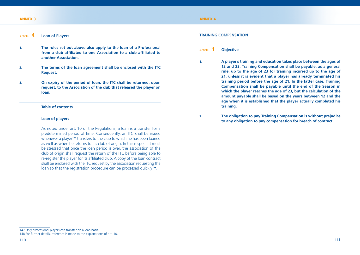#### **ANNEX 3**

## **ANNEX 4**

## Article **4 Loan of Players**

- **1. The rules set out above also apply to the loan of a Professional**  from a club affiliated to one Association to a club affiliated to **another Association.**
- **2. The terms of the loan agreement shall be enclosed with the ITC Request.**
- **3. On expiry of the period of loan, the ITC shall be returned, upon request, to the Association of the club that released the player on loan.**

# **Table of contents**

## **Loan of players**

 As noted under art. 10 of the Regulations, a loan is a transfer for a predetermined period of time. Consequently, an ITC shall be issued whenever a player**<sup>147</sup>** transfers to the club to which he has been loaned as well as when he returns to his club of origin. In this respect, it must be stressed that once the loan period is over, the association of the club of origin shall request the return of the ITC before being able to re-register the player for its affiliated club. A copy of the loan contract shall be enclosed with the ITC request by the association requesting the loan so that the registration procedure can be processed quickly**<sup>148</sup>**.

#### **TRAINING COMPENSATION**

## Article **1 Objective**

- **1. A player's training and education takes place between the ages of 12 and 23. Training Compensation shall be payable, as a general rule, up to the age of 23 for training incurred up to the age of 21, unless it is evident that a player has already terminated his training period before the age of 21. In the latter case, Training Compensation shall be payable until the end of the Season in which the player reaches the age of 23, but the calculation of the amount payable shall be based on the years between 12 and the age when it is established that the player actually completed his training.**
- **2. The obligation to pay Training Compensation is without prejudice to any obligation to pay compensation for breach of contract.**

<sup>147</sup> Only professional players can transfer on a loan basis.

<sup>148</sup> For further details, reference is made to the explanations of art. 10.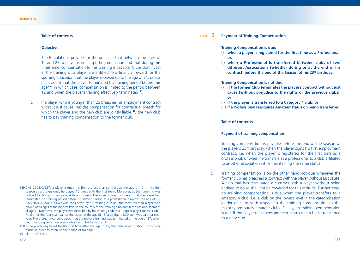## **Table of contents**

#### **Objective**

- The Regulations provide for the principle that between the ages of 12 and 23, a player is in his sporting education and that during this timeframe, compensation for his training is payable. Clubs that invest in the training of a player are entitled to a financial reward for the sporting education that the player received up to the age of 21, unless it is evident that the player terminated his training period before this age**<sup>149</sup>**, in which case, compensation is limited to the period between 12 and when the player's training effectively terminated**<sup>150</sup>**.
- 2 If a player who is younger than 23 breaches his employment contract without just cause, besides compensation for contractual breach for which the player and the new club are jointly liable**<sup>151</sup>**, the new club has to pay training compensation to the former club.

# Article **2 Payment of Training Compensation**

#### **Training Compensation is due:**

- **i)** when a player is registered for the first time as a Professional: **or,**
- **ii) when a Professional is transferred between clubs of two different Associations (whether during or at the end of his contract) before the end of the Season of his 23rd birthday.**

#### **Training Compensation is not due:**

- **i) if the Former Club terminates the player's contract without just cause (without prejudice to the rights of the previous clubs); or**
- **ii) if the player is transferred to a Category 4 club; or**
- **iii) if a Professional reacquires Amateur status on being transferred.**

#### **Table of contents**

## **Payment of training compensation**

- 1 Training compensation is payable before the end of the season of the player's  $23<sup>rd</sup>$  birthday, when the player signs his first employment contract, i.e. when the player is registered for the first time as a professional, or when he transfers as a professional to a club affiliated to another association while maintaining the same status.
- 2 Training compensation is on the other hand not due whenever the former club has breached a contract with the player without just cause. A club that has terminated a contract with a player without being entitled to do so shall not be rewarded for this attitude. Furthermore, no training compensation is due when the player transfers to a category 4 club, i.e. a club on the lowest level in the categorisation ladder of clubs with respect to the training compensation as the majority are purely amateur clubs. Finally, no training compensation is due if the player reacquires amateur status when he is transferred to a new club.

<sup>149</sup> CAS 2003/O/527: a player signed his first professional contract at the age of 17. In his first season as a professional, he played 15 times with the first team. Moreover, at that time, he was noticed for his good technical skills and speed. Therefore, it was considered that the player had terminated his training period before his second season as a professional player at the age of 18. CAS/2004/A/594: a player was considered by his training club as "the most talented player who played at all ages at the highest level in the country of the training club and in the national teams at all ages". Moreover, the player was described by his training club as a "regular player for the club". Finally, for the four-year loan of the player at the age of 18, a six-figure USD sum was paid for each year. Therefore, it was considered that the player's training was terminated at the age of 17, when he, in fact, signed a five-year contract with his training club.

<sup>150</sup> If the player registered for the first time after the age of 12, the date of registration is obviously crucial in order to establish the period of training.

<sup>151</sup> cf. art. 17 par. 2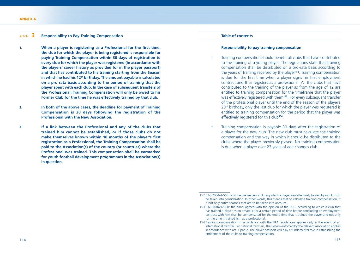## Article **3 Responsibility to Pay Training Compensation**

- 1. When a player is registering as a Professional for the first time, **the club for which the player is being registered is responsible for paying Training Compensation within 30 days of registration to every club for which the player was registered (in accordance with the players' career history as provided for in the player passport) and that has contributed to his training starting from the Season in which he had his 12th birthday. The amount payable is calculated on a pro rata basis according to the period of training that the player spent with each club. In the case of subsequent transfers of the Professional, Training Compensation will only be owed to his Former Club for the time he was effectively trained by that club.**
- **2. In both of the above cases, the deadline for payment of Training Compensation is 30 days following the registration of the Professional with the New Association.**
- **3. If a link between the Professional and any of the clubs that trained him cannot be established, or if those clubs do not**  make themselves known within 18 months of the player's first **registration as a Professional, the Training Compensation shall be paid to the Association(s) of the country (or countries) where the Professional was trained. This compensation shall be earmarked for youth football development programmes in the Association(s) in question.**

### **Table of contents**

#### **Responsibility to pay training compensation**

- Training compensation should benefit all clubs that have contributed to the training of a young player. The regulations state that training compensation shall be distributed on a pro-rata basis according to the years of training received by the player**<sup>152</sup>**. Training compensation is due for the first time when a player signs his first employment contract and thus registers as a professional. All the clubs that have contributed to the training of the player as from the age of 12 are entitled to training compensation for the timeframe that the player was effectively registered with them<sup>153</sup>. For every subsequent transfer of the professional player until the end of the season of the player's 23<sup>rd</sup> birthday, only the last club for which the player was registered is entitled to training compensation for the period that the player was effectively registered for this club**<sup>154</sup>**.
- 2 Training compensation is payable 30 days after the registration of a player for the new club. The new club must calculate the training compensation and the way in which it should be distributed to the clubs where the player previously played. No training compensation is due when a player over 23 years of age changes club.

<sup>152</sup> CAS 2004/A/560: only the precise period during which a player was effectively trained by a club must be taken into consideration. In other words, this means that to calculate training compensation, it is not only entire seasons that are to be taken into account.

<sup>153</sup> CAS 2004/A/560: the panel agreed with the opinion of the DRC, according to which a club that has trained a player as an amateur for a certain period of time before concluding an employment contract with him shall be compensated for the entire time that it trained the player and not only for the time it trained him as a professional.

<sup>154</sup> Training compensation in accordance with the FIFA regulations applies only in the event of an international transfer. For national transfers, the system enforced by the relevant association applies in accordance with art. 1 par. 2. The player passport will play a fundamental role in establishing the entitlement of the clubs to training compensation.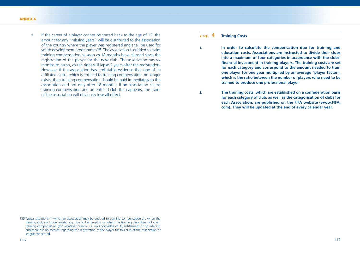3 If the career of a player cannot be traced back to the age of 12, the amount for any "missing years" will be distributed to the association of the country where the player was registered and shall be used for youth development programmes**<sup>155</sup>**. The association is entitled to claim training compensation as soon as 18 months have elapsed since the registration of the player for the new club. The association has six months to do so, as the right will lapse 2 years after the registration. However, if the association has irrefutable evidence that one of its affiliated clubs, which is entitled to training compensation, no longer exists, then training compensation should be paid immediately to the association and not only after 18 months. If an association claims training compensation and an entitled club then appears, the claim of the association will obviously lose all effect.

## Article **4 Training Costs**

- **1. In order to calculate the compensation due for training and education costs, Associations are instructed to divide their clubs into a maximum of four categories in accordance with the clubs'**  financial investment in training players. The training costs are set **for each category and correspond to the amount needed to train one player for one year multiplied by an average "player factor", which is the ratio between the number of players who need to be trained to produce one professional player.**
- **2. The training costs, which are established on a confederation basis for each category of club, as well as the categorisation of clubs for each Association, are published on the FIFA website (www.FIFA. com). They will be updated at the end of every calendar year.**

<sup>155</sup> Typical situations in which an association may be entitled to training compensation are when the training club no longer exists, e.g. due to bankruptcy, or when the training club does not claim training compensation (for whatever reason, i.e. no knowledge of its entitlement or no interest) and there are no records regarding the registration of the player for this club at the association or league concerned.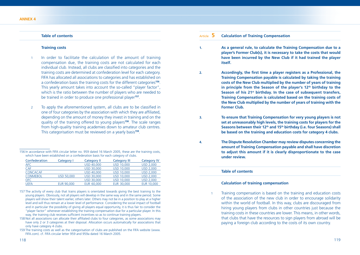## **Table of contents**

#### **Training costs**

- In order to facilitate the calculation of the amount of training compensation due, the training costs are not calculated for each individual club. Instead, all clubs are classified into categories and the training costs are determined at confederation level for each category. FIFA has allocated all associations to categories and has established on a confederation basis the training costs for the different categories**<sup>156</sup>**. This yearly amount takes into account the so-called "player factor", which is the ratio between the number of players who are needed to be trained in order to produce one professional player**<sup>157</sup>**.
- 2 To apply the aforementioned system, all clubs are to be classified in one of four categories by the association with which they are affiliated, depending on the amount of money they invest in training and on the quality of the training offered to young players**<sup>158</sup>**. The scale ranges from high-quality training academies down to amateur club centres. This categorisation must be reviewed on a yearly basis**<sup>159</sup>**.

<sup>156</sup> In accordance with FIFA circular letter no. 959 dated 16 March 2005, these are the training costs, which have been established on a confederation basis for each category of clubs.

| Confederation   | Category I | Category II       | <b>Category III</b> | <b>Category IV</b> |
|-----------------|------------|-------------------|---------------------|--------------------|
| AFC             |            | <b>USD 40,000</b> | <b>USD 10,000</b>   | <b>USD 2.000</b>   |
| <b>CAF</b>      |            | <b>USD 30,000</b> | <b>USD 10,000</b>   | <b>USD 2.000</b>   |
| <b>CONCACAF</b> |            | <b>USD 40,000</b> | <b>USD 10,000</b>   | <b>USD 2.000</b>   |
| <b>CONMEBOL</b> | USD 50.000 | <b>USD 30,000</b> | <b>USD 10,000</b>   | <b>USD 2.000</b>   |
| OFC.            |            | <b>USD 30,000</b> | <b>USD 10,000</b>   | <b>USD 2.000</b>   |
| UEFA            | EUR 90,000 | EUR 60,000        | EUR 30,000          | <b>EUR 10,000</b>  |
|                 |            |                   |                     |                    |

- 157 The activity of every club that trains players is orientated towards giving the best training to the young players. Obviously, not all players will develop in the same way and in the same period. Some players will show their talent earlier, others later. Others may not be in a position to play at a higher level and will thus remain at a lower level of performance. Considering the social impact of football and in particular the possibility of giving all players equal opportunity, it is thus fair to consider the "player factor" whenever establishing the training compensation due for a particular player. In this way, the training club receives sufficient incentives so as to continue training players.
- 158 Not all associations can allocate their affiliated clubs to four categories, as some associations may have only 2 or 3 categories at their disposal. Allocation occurs automatically for associations that only have category 4 clubs.
- 159 The training costs as well as the categorisation of clubs are published on the FIFA website (www. FIFA.com). cf. FIFA circular letter 959 and 959a dated 16 March 2005.

# Article **5 Calculation of Training Compensation**

**1. As a general rule, to calculate the Training Compensation due to a player's Former Club(s), it is necessary to take the costs that would have been incurred by the New Club if it had trained the player itself.**

**2.** Accordingly, the first time a player registers as a Professional, the **Training Compensation payable is calculated by taking the training costs of the New Club multiplied by the number of years of training**  in principle from the Season of the player's 12<sup>th</sup> birthday to the **Season of his 21st birthday. In the case of subsequent transfers, Training Compensation is calculated based on the training costs of the New Club multiplied by the number of years of training with the Former Club.**

**3. To ensure that Training Compensation for very young players is not set at unreasonably high levels, the training costs for players for the**  Seasons between their 12<sup>th</sup> and 15<sup>th</sup> birthday (i.e. four Seasons) shall **be based on the training and education costs for category 4 clubs.**

**4. The Dispute Resolution Chamber may review disputes concerning the amount of Training Compensation payable and shall have discretion to adjust this amount if it is clearly disproportionate to the case under review.**

## **Table of contents**

## **Calculation of training compensation**

1 Training compensation is based on the training and education costs of the association of the new club in order to encourage solidarity within the world of football. In this way, clubs are discouraged from hiring young players from clubs in other countries just because the training costs in these countries are lower. This means, in other words, that clubs that have the resources to sign players from abroad will be paying a foreign club according to the costs of its own country.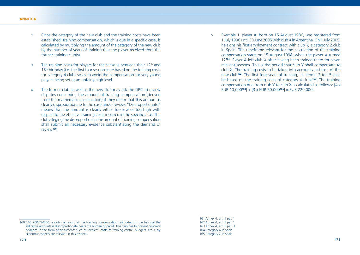- 2 Once the category of the new club and the training costs have been established, training compensation, which is due in a specific case, is calculated by multiplying the amount of the category of the new club by the number of years of training that the player received from the former training club(s).
- $3$  The training costs for players for the seasons between their 12<sup>th</sup> and  $15<sup>th</sup>$  birthday (i.e. the first four seasons) are based on the training costs for category 4 clubs so as to avoid the compensation for very young players being set at an unfairly high level.
- 4 The former club as well as the new club may ask the DRC to review disputes concerning the amount of training compensation (derived from the mathematical calculation) if they deem that this amount is clearly disproportionate to the case under review. "Disproportionate" means that the amount is clearly either too low or too high with respect to the effective training costs incurred in the specific case. The club alleging the disproportion in the amount of training compensation shall submit all necessary evidence substantiating the demand of review**<sup>160</sup>**.

5 Example 1: player A, born on 15 August 1986, was registered from 1 July 1996 until 30 June 2005 with club X in Argentina. On 1 July 2005, he signs his first employment contract with club Y, a category 2 club in Spain. The timeframe relevant for the calculation of the training compensation starts on 15 August 1998, when the player A turned 12**<sup>161</sup>**. Player A left club X after having been trained there for seven relevant seasons. This is the period that club Y shall compensate to club X. The training costs to be taken into account are those of the new club<sup>162</sup>. The first four years of training, i.e. from 12 to 15 shall be based on the training costs of category 4 clubs**<sup>163</sup>**. The training compensation due from club Y to club X is calculated as follows: [4 x EUR 10,000**<sup>164</sup>**] + [3 x EUR 60,000**<sup>165</sup>**] = EUR 220,000.

161 Annex 4, art. 1 par. 1 162 Annex 4, art. 5 par. 1 163 Annex 4, art. 5 par. 3 164 Category 4 in Spain 165 Category 2 in Spain

<sup>160</sup> CAS 2004/A/560: a club claiming that the training compensation calculated on the basis of the indicative amounts is disproportionate bears the burden of proof. This club has to present concrete evidence in the form of documents such as invoices, costs of training centre, budgets, etc. Only economic aspects are relevant in this respect.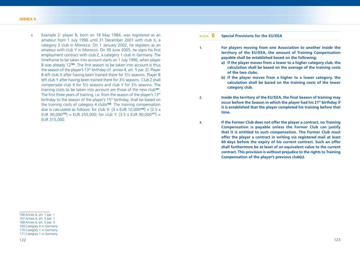6 Example 2: player B, born on 18 May 1984, was registered as an amateur from 1 July 1996 until 31 December 2001 with club X, a category 3 club in Morocco. On 1 January 2002, he registers as an amateur with club Y in Morocco. On 30 June 2005, he signs his first employment contract with club Z, a category 1 club in Germany. The timeframe to be taken into account starts on 1 July 1996, when player B was already 12<sup>166</sup>. The first season to be taken into account is thus the season of the player's  $13<sup>th</sup>$  birthday (cf. annex 4, art. 5 par. 2). Player B left club X after having been trained there for 5½ seasons. Player B left club Y after having been trained there for 3½ seasons. Club Z shall compensate club X for 5½ seasons and club Y for 3½ seasons. The training costs to be taken into account are those of the new club**<sup>167</sup>**. The first three years of training, i.e. from the season of the player's 13<sup>th</sup> birthday to the season of the player's 15<sup>th</sup> birthday, shall be based on the training costs of category 4 clubs**<sup>168</sup>**. The training compensation due is calculated as follows: for club X: [3 x EUR 10,000**<sup>169</sup>**] + [2.5 x EUR 90,000**<sup>170</sup>**] = EUR 255,000; for club Y: [3.5 x EUR 90,000**<sup>171</sup>**] = EUR 315,000.

Article **6 Special Provisions for the EU/EEA**

- **1. For players moving from one Association to another inside the territory of the EU/EEA, the amount of Training Compensation payable shall be established based on the following:**
	- **a) If the player moves from a lower to a higher category club, the calculation shall be based on the average of the training costs of the two clubs.**
	- **b) If the player moves from a higher to a lower category, the calculation shall be based on the training costs of the lower category club.**
- **2.** Inside the territory of the EU/EEA, the final Season of training may **occur before the Season in which the player had his 21st birthday if it is established that the player completed his training before that time.**
- **3. If the Former Club does not offer the player a contract, no Training Compensation is payable unless the Former Club can justify that it is entitled to such compensation. The Former Club must offer the player a contract in writing via registered mail at least 60 days before the expiry of his current contract. Such an offer shall furthermore be at least of an equivalent value to the current contract. This provision is without prejudice to the rights to Training Compensation of the player's previous club(s).**

<sup>166</sup> Annex 4, art. 1 par. 1

<sup>167</sup> Annex 4, art. 5 par. 1

<sup>168</sup> Annex 4, art. 5 par. 3

<sup>169</sup> Category 4 in Germany

<sup>170</sup> Category 1 in Germany

<sup>171</sup> Category 1 in Germany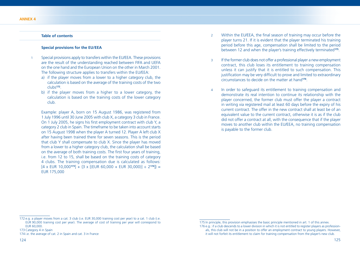# **Table of contents**

#### **Special provisions for the EU/EEA**

- 1 Special provisions apply to transfers within the EU/EEA. These provisions are the result of the understanding reached between FIFA and UEFA on the one hand and the European Union on the other in March 2001. The following structure applies to transfers within the EU/EEA:
	- a) if the player moves from a lower to a higher category club, the calculation is based on the average of the training costs of the two clubs**<sup>172</sup>**.
	- b) if the player moves from a higher to a lower category, the calculation is based on the training costs of the lower category club.

 Example: player A, born on 15 August 1986, was registered from 1 July 1996 until 30 June 2005 with club X, a category 3 club in France. On 1 July 2005, he signs his first employment contract with club Y, a category 2 club in Spain. The timeframe to be taken into account starts on 15 August 1998 when the player A turned 12. Player A left club X after having been trained there for seven seasons. This is the period that club Y shall compensate to club X. Since the player has moved from a lower to a higher category club, the calculation shall be based on the average of both training costs. The first four years of training, i.e. from 12 to 15, shall be based on the training costs of category 4 clubs. The training compensation due is calculated as follows:  $[4 \times$  EUR 10,000<sup>173</sup>] + {3 x  $[(EUR 60,000 + EUR 30,000)] \div 2^{174}] =$ EUR 175,000

- 2 Within the EU/EEA, the final season of training may occur before the player turns 21. If it is evident that the player terminated his training period before this age, compensation shall be limited to the period between 12 and when the player's training effectively terminated**<sup>175</sup>**.
- 3 If the former club does not offer a professional player a new employment contract, this club loses its entitlement to training compensation unless it can justify that it is entitled to such compensation. This justification may be very difficult to prove and limited to extraordinary circumstances to decide on the matter at hand**<sup>176</sup>**.
- 4 In order to safeguard its entitlement to training compensation and demonstrate its real intention to continue its relationship with the player concerned, the former club must offer the player a contract in writing via registered mail at least 60 days before the expiry of his current contract. The offer in the new contract shall at least be of an equivalent value to the current contract, otherwise it is as if the club did not offer a contract at all, with the consequence that if the player moves to another club within the EU/EEA, no training compensation is payable to the former club.

<sup>172</sup> e.g. a player moves from a cat. 3 club (i.e. EUR 30,000 training cost per year) to a cat. 1 club (i.e. EUR 90,000 training cost per year). The average of cost of training per year will correspond to EUR 60,000.

<sup>173</sup> Category 4 in Spain

<sup>174</sup> i.e. the average of cat. 2 in Spain and cat. 3 in France

<sup>175</sup> In principle, this provision emphasises the basic principle mentioned in art. 1 of this annex. 176 e.g.: if a club descends to a lower division in which it is not entitled to register players as professionals, this club will not be in a position to offer an employment contract to young players. However, it will not forfeit its entitlement to claim for training compensation from the player's new club.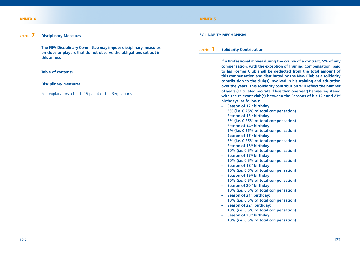#### **ANNEX 4**

## **ANNEX 5**

# Article **7 Disciplinary Measures**

 **The FIFA Disciplinary Committee may impose disciplinary measures on clubs or players that do not observe the obligations set out in this annex.**

## **Table of contents**

#### **Disciplinary measures**

Self-explanatory. cf. art. 25 par. 4 of the Regulations.

#### **SOLIDARITY MECHANISM**

## Article **1 Solidarity Contribution**

 **If a Professional moves during the course of a contract, 5% of any compensation, with the exception of Training Compensation, paid to his Former Club shall be deducted from the total amount of this compensation and distributed by the New Club as a solidarity contribution to the club(s) involved in his training and education over the years. This solidarity contribution will reflect the number of years (calculated pro rata if less than one year) he was registered**  with the relevant club(s) between the Seasons of his 12<sup>th</sup> and 23<sup>rd</sup> **birthdays, as follows:**

- **Season of 12th birthday:** 
	- **5% (i.e. 0.25% of total compensation)**
- **Season of 13th birthday: 5% (i.e. 0.25% of total compensation) – Season of 14th birthday:**
- **5% (i.e. 0.25% of total compensation)**
- **Season of 15th birthday: 5% (i.e. 0.25% of total compensation)**
- **Season of 16th birthday: 10% (i.e. 0.5% of total compensation)**
- **Season of 17th birthday: 10% (i.e. 0.5% of total compensation)**
- **Season of 18th birthday:**
- **10% (i.e. 0.5% of total compensation)**
- **Season of 19th birthday:** 
	- **10% (i.e. 0.5% of total compensation)**
- **Season of 20th birthday: 10% (i.e. 0.5% of total compensation)**
- **Season of 21st birthday: 10% (i.e. 0.5% of total compensation)**
- **Season of 22nd birthday: 10% (i.e. 0.5% of total compensation)**
- **Season of 23rd birthday: 10% (i.e. 0.5% of total compensation)**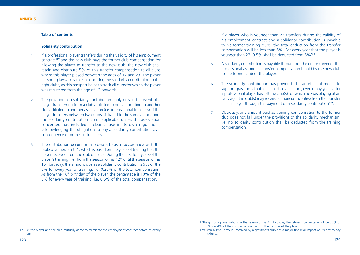# **Table of contents**

#### **Solidarity contribution**

- If a professional player transfers during the validity of his employment contract**<sup>177</sup>** and the new club pays the former club compensation for allowing the player to transfer to the new club, the new club shall retain and distribute 5% of this transfer compensation to all clubs where this player played between the ages of 12 and 23. The player passport plays a key role in allocating the solidarity contribution to the right clubs, as this passport helps to track all clubs for which the player was registered from the age of 12 onwards.
- 2 The provisions on solidarity contribution apply only in the event of a player transferring from a club affiliated to one association to another club affiliated to another association (i.e. international transfers). If the player transfers between two clubs affiliated to the same association, the solidarity contribution is not applicable unless the association concerned has included a clear clause in its own regulations, acknowledging the obligation to pay a solidarity contribution as a consequence of domestic transfers.
- 3 The distribution occurs on a pro-rata basis in accordance with the table of annex 5 art. 1, which is based on the years of training that the player received from the club or clubs. During the first four years of the player's training, i.e. from the season of his  $12<sup>th</sup>$  until the season of his 15<sup>th</sup> birthday, the amount due as a solidarity contribution is 5% of the 5% for every year of training, i.e. 0.25% of the total compensation. As from the 16<sup>th</sup> birthday of the player, the percentage is 10% of the 5% for every year of training, i.e. 0.5% of the total compensation.
- 4 If a player who is younger than 23 transfers during the validity of his employment contract and a solidarity contribution is payable to his former training clubs, the total deduction from the transfer compensation will be less than 5%. For every year that the player is younger than 23, 0.5% shall be deducted from 5%**<sup>178</sup>**.
- 5 A solidarity contribution is payable throughout the entire career of the professional as long as transfer compensation is paid by the new club to the former club of the player.
- 6 The solidarity contribution has proven to be an efficient means to support grassroots football in particular. In fact, even many years after a professional player has left the club(s) for which he was playing at an early age, the club(s) may receive a financial incentive from the transfer of this player through the payment of a solidarity contribution**<sup>179</sup>**.
- 7 Obviously, any amount paid as training compensation to the former club does not fall under the provisions of the solidarity mechanism, i.e. no solidarity contribution shall be deducted from the training compensation.

date.

<sup>178</sup> e.g.: for a player who is in the season of his 21<sup>st</sup> birthday, the relevant percentage will be 80% of 5%, i.e. 4% of the compensation paid for the transfer of the player. 179 Even a small amount received by a grassroots club has a major financial impact on its day-to-day

<sup>177</sup> i.e. the player and the club mutually agree to terminate the employment contract before its expiry business.

<sup>128</sup> 129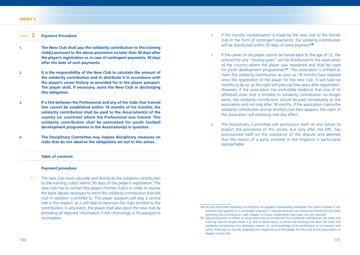#### **ANNEX 5**

# Article **2 Payment Procedure**

- **1. The New Club shall pay the solidarity contribution to the training club(s) pursuant to the above provisions no later than 30 days after the player's registration or, in case of contingent payments, 30 days after the date of such payments.**
- **2. It is the responsibility of the New Club to calculate the amount of the solidarity contribution and to distribute it in accordance with the player's career history as provided for in the player passport. The player shall, if necessary, assist the New Club in discharging this obligation.**
- **3. If a link between the Professional and any of the clubs that trained him cannot be established within 18 months of his transfer, the solidarity contribution shall be paid to the Association(s) of the country (or countries) where the Professional was trained. This solidarity contribution shall be earmarked for youth football development programmes in the Association(s) in question.**
- **4. The Disciplinary Committee may impose disciplinary measures on clubs that do not observe the obligations set out in this annex.**

#### **Table of contents**

#### **Payment procedure**

1 The new club must calculate and distribute the solidarity contribution to the training club(s) within 30 days of the player's registration. The new club has to contact the player's former club(s) in order to receive the bank details necessary to remit the solidarity contribution that the club in question is entitled to. The player passport will play a central role in this respect, as it will help to ascertain the clubs entitled to the contribution. In any event, the player shall also assist the new club by providing all required information if the chronology in his passport is incomplete.

- 2 If the transfer compensation is made by the new club to the former club in the form of contingent payments, the solidarity contribution will be distributed within 30 days of every payment**<sup>180</sup>**.
- 3 If the career of the player cannot be traced back to the age of 12, the amount for any "missing years" will be distributed to the association of the country where the player was registered and shall be used for youth development programmes**<sup>181</sup>**. The association is entitled to claim the solidarity contribution as soon as 18 months have elapsed since the registration of the player for the new club. It will have six months to do so, as this right will prescript two years after registration. However, if the association has irrefutable evidence that one of its affiliated clubs that is entitled to solidarity contribution no longer exists, the solidarity contribution should be paid immediately to the association and not only after 18 months. If the association claims the solidarity contribution and an entitled club then appears, the claim of the association will obviously lose any effect.
- 4 The Disciplinary Committee will pronounce itself on any failure to respect the provisions of this annex, but only after the DRC has pronounced itself on the substance of the dispute and deemed that the stance of a party involved in the litigation is particularly reproachable.

<sup>180</sup> Should the entire solidarity contribution be payable immediately whenever the clubs involved in the transfer have agreed on a contingent payment, it would represent an undue enrichment of the clubs receiving this contribution, with respect to those installments that have not yet matured.

<sup>181</sup> Typical situations in which an association has an entitlement to a solidarity contribution are when the training club no longer exists, e.g. due to bankruptcy, or when the training club does not claim the solidarity contribution (for whatever reason, i.e. no knowledge of its entitlement or no interest) and when there are no records regarding the registration of the player for this club at the association or league concerned.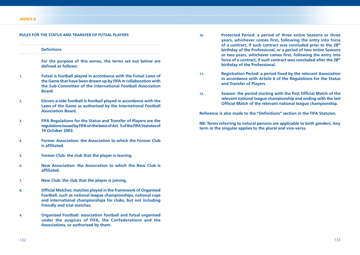#### **RULES FOR THE STATUS AND TRANSFER OF FUTSAL PLAYERS**

#### **Definitions**

 **For the purpose of this annex, the terms set out below are**  defined as follows:

- **1. Futsal is football played in accordance with the Futsal Laws of the Game that have been drawn up by FIFA in collaboration with the Sub-Committee of the International Football Association Board.**
- **2. Eleven-a-side football is football played in accordance with the Laws of the Game as authorised by the International Football Association Board.**
- **3. FIFA Regulations for the Status and Transfer of Players are the regulations issued by FIFA on the basis of Art. 5 of the FIFA Statutes of 19 October 2003.**
- **4. Former Association: the Association to which the Former Club is affiliated.**
- **5. Former Club: the club that the player is leaving.**
- **6. New Association: the Association to which the New Club is affi liated.**
- **7. New Club: the club that the player is joining.**
- 8. **Official Matches: matches played in the framework of Organised Football, such as national league championships, national cups and international championships for clubs, but not including friendly and trial matches.**
- **9. Organised Football: association football and futsal organised under the auspices of FIFA, the Confederations and the Associations, or authorised by them.**
- **10. Protected Period: a period of three entire Seasons or three years, whichever comes first, following the entry into force of a contract, if such contract was concluded prior to the 28th birthday of the Professional, or a period of two entire Seasons**  or two years, whichever comes first, following the entry into **force of a contract, if such contract was concluded after the 28th birthday of the Professional.**
- 11. **Registration Period: a period fixed by the relevant Association in accordance with Article 6 of the Regulations for the Status and Transfer of Players.**
- 12. **Season: the period starting with the first Official Match of the relevant national league championship and ending with the last Official Match of the relevant national league championship.**

**Reference is also made to the "Definitions" section in the FIFA Statutes.** 

**NB: Terms referring to natural persons are applicable to both genders. Any term in the singular applies to the plural and vice-versa.**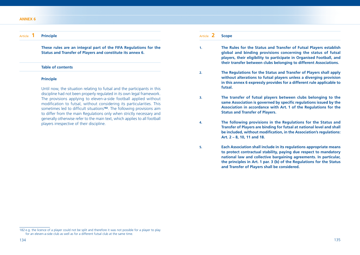#### **ANNEX 6**

# Article **1 Principle**

 **These rules are an integral part of the FIFA Regulations for the Status and Transfer of Players and constitute its annex 6.** 

## **Table of contents**

#### **Principle**

 Until now, the situation relating to futsal and the participants in this discipline had not been properly regulated in its own legal framework. The provisions applying to eleven-a-side football applied without modification to futsal, without considering its particularities. This sometimes led to difficult situations<sup>182</sup>. The following provisions aim to differ from the main Regulations only when strictly necessary and generally otherwise refer to the main text, which applies to all football players irrespective of their discipline.

Article **2 Scope**

**1. The Rules for the Status and Transfer of Futsal Players establish global and binding provisions concerning the status of futsal players, their eligibility to participate in Organised Football, and their transfer between clubs belonging to different Associations.** 

**2. The Regulations for the Status and Transfer of Players shall apply without alterations to futsal players unless a diverging provision in this annex 6 expressly provides for a different rule applicable to futsal.**

**3. The transfer of futsal players between clubs belonging to the**  same Association is governed by specific regulations issued by the **Association in accordance with Art. 1 of the Regulations for the Status and Transfer of Players.** 

**4. The following provisions in the Regulations for the Status and Transfer of Players are binding for futsal at national level and shall be included, without modification, in the Association's regulations: Art. 2 – 8, 10, 11 and 18.**

**5. Each Association shall include in its regulations appropriate means to protect contractual stability, paying due respect to mandatory national law and collective bargaining agreements. In particular, the principles in Art. 1 par. 3 (b) of the Regulations for the Status and Transfer of Players shall be considered.** 

<sup>182</sup> e.g. the licence of a player could not be split and therefore it was not possible for a player to play for an eleven-a-side club as well as for a different futsal club at the same time.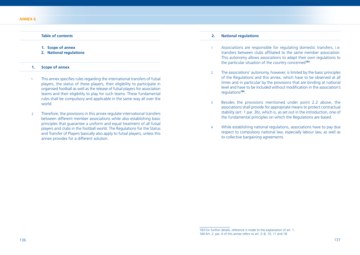## **Table of contents**

- **1. Scope of annex**
- **2. National regulations**
- **1. Scope of annex**
- 1 This annex specifies rules regarding the international transfers of futsal players, the status of these players, their eligibility to participate in organised football as well as the release of futsal players for association teams and their eligibility to play for such teams. These fundamental rules shall be compulsory and applicable in the same way all over the world.
- 2 Therefore, the provisions in this annex regulate international transfers between different member associations while also establishing basic principles that guarantee a uniform and equal treatment of all futsal players and clubs in the football world. The Regulations for the Status and Transfer of Players basically also apply to futsal players, unless this annex provides for a different solution.

# **2. National regulations**

- 1 Associations are responsible for regulating domestic transfers, i.e. transfers between clubs affiliated to the same member association. This autonomy allows associations to adapt their own regulations to the particular situation of the country concerned**<sup>183</sup>**.
- 2 The associations' autonomy, however, is limited by the basic principles of the Regulations and this annex, which have to be observed at all times and in particular by the provisions that are binding at national level and have to be included without modification in the association's regulations**<sup>184</sup>**.
- 3 Besides the provisions mentioned under point 2.2 above, the associations shall provide for appropriate means to protect contractual stability (art. 1 par. 3b), which is, as set out in the introduction, one of the fundamental principles on which the Regulations are based.
- 4 While establishing national regulations, associations have to pay due respect to compulsory national law, especially labour law, as well as to collective bargaining agreements.

<sup>183</sup> For further details, reference is made to the explanation of art. 1 184 Art. 2. par. 4 of this annex refers to art. 2–8, 10, 11 and 18.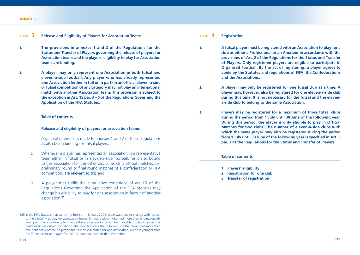## Article **3 Release and Eligibility of Players for Association Teams**

- **1. The provisions in annexes 1 and 2 of the Regulations for the Status and Transfer of Players governing the release of players for Association teams and the players' eligibility to play for Association teams are binding.**
- **2. A player may only represent one Association in both futsal and eleven-a-side football. Any player who has already represented one Association (either in full or in part) in an official eleven-a-side or futsal competition of any category may not play an international match with another Association team. This provision is subject to the exception in Art. 15 par. 3 – 5 of the Regulations Governing the Application of the FIFA Statutes.**

## **Table of contents**

#### **Release and eligibility of players for association teams**

- 1 A general reference is made to annexes 1 and 2 of these Regulations as also being binding for futsal players.
- 2 Whenever a player has represented an association in a representative team either in futsal or in eleven-a-side football, he is also bound to this association for the other discipline. Only official matches, i.e. preliminary round or final round matches of a confederation or FIFA competition, are relevant to this end.
- 3 A player that fulfils the cumulative conditions of art. 15 of the Regulations Governing the Application of the FIFA Statutes may change his eligibility to play for one association in favour of another association**<sup>185</sup>**.

## Article **4 Registration**

- **1. A futsal player must be registered with an Association to play for a club as either a Professional or an Amateur in accordance with the provisions of Art. 2 of the Regulations for the Status and Transfer of Players. Only registered players are eligible to participate in Organised Football. By the act of registering, a player agrees to abide by the Statutes and regulations of FIFA, the Confederations and the Associations.**
- **2. A player may only be registered for one futsal club at a time. A player may, however, also be registered for one eleven-a-side club during this time. It is not necessary for the futsal and the elevena-side club to belong to the same Association.**
- **3. Players may be registered for a maximum of three futsal clubs during the period from 1 July until 30 June of the following year.**  During this period, the player is only eligible to play in Official **Matches for two clubs. The number of eleven-a-side clubs with which the same player may also be registered during the period from 1 July until 30 June of the following year is specified in Art. 5 par. 3 of the Regulations for the Status and Transfer of Players.**

#### **Table of contents**

- **1. Players' eligibility**
- **2. Registration for one club**
- **3. Transfer of registration**

<sup>185</sup> In the FIFA Statutes that came into force on 1 January 2004, there was a major change with respect to the eligibility to play for association teams. In fact, a player who had more than one nationality was given the opportunity to change the association for which he is eligible to play international matches under certain conditions. The conditions are the following: (1) the player had more than one nationality before he played the first official match for one association; (2) he is younger than 21; (3) he has never played for the "A" national team of that association.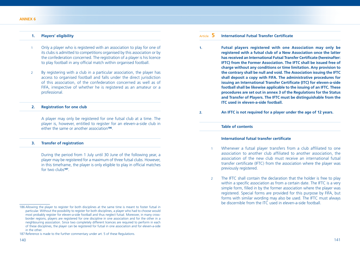## **1. Players' eligibility**

- 1 Only a player who is registered with an association to play for one of its clubs is admitted to competitions organised by this association or by the confederation concerned. The registration of a player is his licence to play football in any official match within organised football.
- 2 By registering with a club in a particular association, the player has access to organised football and falls under the direct jurisdiction of this association, of the confederation concerned as well as of FIFA, irrespective of whether he is registered as an amateur or a professional.

#### **2. Registration for one club**

 A player may only be registered for one futsal club at a time. The player is, however, entitled to register for an eleven-a-side club in either the same or another association**<sup>186</sup>**.

## **3. Transfer of registration**

 During the period from 1 July until 30 June of the following year, a player may be registered for a maximum of three futsal clubs. However, in this timeframe, the player is only eligible to play in official matches for two clubs**<sup>187</sup>**.

# Article **5** International Futsal Transfer Certificate

- **1. Futsal players registered with one Association may only be registered with a futsal club of a New Association once the latter has received an International Futsal Transfer Certificate (hereinafter: IFTC) from the Former Association. The IFTC shall be issued free of charge without any conditions or time limitation. Any provision to the contrary shall be null and void. The Association issuing the IFTC shall deposit a copy with FIFA. The administrative procedures for issuing an International Transfer Certificate (ITC) for eleven-a-side football shall be likewise applicable to the issuing of an IFTC. These procedures are set out in annex 3 of the Regulations for the Status and Transfer of Players. The IFTC must be distinguishable from the ITC used in eleven-a-side football.**
- **2. An IFTC is not required for a player under the age of 12 years.**

#### **Table of contents**

#### **International futsal transfer certificate**

- Whenever a futsal player transfers from a club affiliated to one association to another club affiliated to another association, the association of the new club must receive an international futsal transfer certificate (IFTC) from the association where the player was previously registered.
- 2 The IFTC shall contain the declaration that the holder is free to play within a specific association as from a certain date. The IFTC is a very simple form, filled in by the former association where the player was registered. Special forms are provided for this purpose by FIFA, but forms with similar wording may also be used. The IFTC must always be discernible from the ITC used in eleven-a-side football.

<sup>186</sup> Allowing the player to register for both disciplines at the same time is meant to foster futsal in particular. Without the possibility to register for both disciplines, a player who had to choose would most probably register for eleven-a-side football and thus neglect futsal. Moreover, in many crossborder regions, players are registered for one discipline in one association and for the other in a neighbouring association. Since two completely different licences are required to perform in each of these disciplines, the player can be registered for futsal in one association and for eleven-a-side in the other.

<sup>187</sup> Reference is made to the further commentary under art. 5 of these Regulations.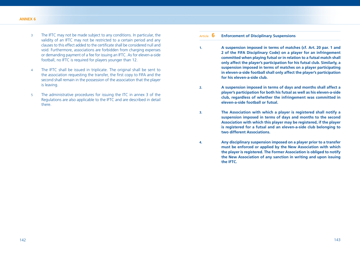- 3 The IFTC may not be made subject to any conditions. In particular, the validity of an IFTC may not be restricted to a certain period and any clauses to this effect added to the certificate shall be considered null and void. Furthermore, associations are forbidden from charging expenses or demanding payment of a fee for issuing an IFTC. As for eleven-a-side football, no IFTC is required for players younger than 12.
- 4 The IFTC shall be issued in triplicate. The original shall be sent to the association requesting the transfer, the first copy to FIFA and the second shall remain in the possession of the association that the player is leaving.
- 5 The administrative procedures for issuing the ITC in annex 3 of the Regulations are also applicable to the IFTC and are described in detail there.

# Article **6 Enforcement of Disciplinary Suspensions**

- **1. A suspension imposed in terms of matches (cf. Art. 20 par. 1 and 2 of the FIFA Disciplinary Code) on a player for an infringement committed when playing futsal or in relation to a futsal match shall only affect the player's participation for his futsal club. Similarly, a suspension imposed in terms of matches on a player participating in eleven-a-side football shall only affect the player's participation for his eleven-a-side club.**
- **2. A suspension imposed in terms of days and months shall affect a player's participation for both his futsal as well as his eleven-a-side club, regardless of whether the infringement was committed in eleven-a-side football or futsal.**
- **3. The Association with which a player is registered shall notify a suspension imposed in terms of days and months to the second Association with which this player may be registered, if the player is registered for a futsal and an eleven-a-side club belonging to two different Associations.**
- **4. Any disciplinary suspension imposed on a player prior to a transfer must be enforced or applied by the New Association with which the player is registered. The Former Association is obliged to notify the New Association of any sanction in writing and upon issuing the IFTC.**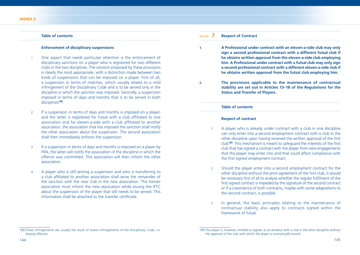# **Table of contents**

## **Enforcement of disciplinary suspensions**

- 1 One aspect that needs particular attention is the enforcement of disciplinary sanctions on a player who is registered for two different clubs in the two disciplines. The solution proposed by these provisions is clearly the most appropriate, with a distinction made between two kinds of suspensions that can be imposed on a player. First of all, a suspension in terms of matches, which usually relates to a mild infringement of the Disciplinary Code and is to be served only in the discipline in which the sanction was imposed. Secondly, a suspension imposed in terms of days and months that is to be served in both disciplines**<sup>188</sup>**.
- 2 If a suspension in terms of days and months is imposed on a player, and the latter is registered for futsal with a club affiliated to one association and for eleven-a-side with a club affiliated to another association, the association that has imposed the sanction shall notify the other association about the suspension. The second association shall then immediately enforce the suspension.
- 3 If a suspension in terms of days and months is imposed on a player by FIFA, the latter will notify the association of the discipline in which the offence was committed. This association will then inform the other association.
- 4 A player who is still serving a suspension and who is transferring to a club affiliated to another association shall serve the remainder of the sanction with the new club in the new association. The former association must inform the new association while issuing the IFTC about the suspension of the player that still needs to be served. This information shall be attached to the transfer certificate.

# Article **7 Respect of Contract**

- **1. A Professional under contract with an eleven-a-side club may only sign a second professional contract with a different futsal club if he obtains written approval from the eleven-a-side club employing him. A Professional under contract with a futsal club may only sign a second professional contract with a different eleven-a-side club if he obtains written approval from the futsal club employing him.**
- **2. The provisions applicable to the maintenance of contractual stability are set out in Articles 13–18 of the Regulations for the Status and Transfer of Players.**

## **Table of contents**

## **Respect of contract**

- 1 A player who is already under contract with a club in one discipline can only enter into a second employment contract with a club in the other discipline upon having received the written approval of the first club<sup>189</sup>. This mechanism is meant to safeguard the interests of the first club that has signed a contract with the player from new engagements that the player may enter into and that could affect compliance with the first signed employment contract.
- 2 Should the player enter into a second employment contract for the other discipline without the prior agreement of the first club, it would be necessary first of all to analyse whether the regular fulfilment of the first signed contract is impeded by the signature of the second contract or if a coexistence of both contracts, maybe with some adaptations to the second contract, is possible.
- 3 In general, the basic principles relating to the maintenance of contractual stability also apply to contracts signed within the framework of futsal.

<sup>188</sup> These infringements are usually the result of severe infringements of the Disciplinary Code, i.e. doping offences.

<sup>189</sup> The player is, however, entitled to register as an amateur with a club in the other discipline without the approval of the club with which the player is contractually bound.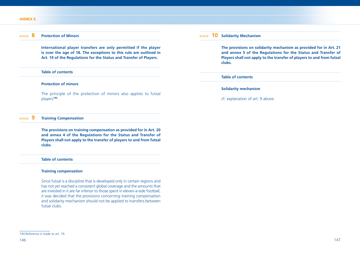## Article **8 Protection of Minors**

 **International player transfers are only permitted if the player is over the age of 18. The exceptions to this rule are outlined in Art. 19 of the Regulations for the Status and Transfer of Players.** 

## **Table of contents**

## **Protection of minors**

 The principle of the protection of minors also applies to futsal players**<sup>190</sup>**.

# Article **9 Training Compensation**

 **The provisions on training compensation as provided for in Art. 20 and annex 4 of the Regulations for the Status and Transfer of Players shall not apply to the transfer of players to and from futsal clubs.** 

## **Table of contents**

#### **Training compensation**

 Since futsal is a discipline that is developed only in certain regions and has not yet reached a consistent global coverage and the amounts that are invested in it are far inferior to those spent in eleven-a-side football, it was decided that the provisions concerning training compensation and solidarity mechanism should not be applied to transfers between futsal clubs.

# Article **10 Solidarity Mechanism**

 **The provisions on solidarity mechanism as provided for in Art. 21 and annex 5 of the Regulations for the Status and Transfer of Players shall not apply to the transfer of players to and from futsal clubs.**

#### **Table of contents**

## **Solidarity mechanism**

cf. explanation of art. 9 above.

<sup>190</sup> Reference is made to art. 19.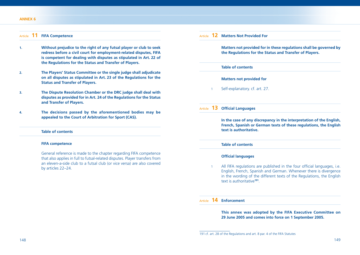## **ANNEX 6**

| Article |  | <b>FIFA Competence</b> |
|---------|--|------------------------|
|---------|--|------------------------|

- **1. Without prejudice to the right of any futsal player or club to seek redress before a civil court for employment-related disputes, FIFA is competent for dealing with disputes as stipulated in Art. 22 of the Regulations for the Status and Transfer of Players.**
- **2. The Players' Status Committee or the single judge shall adjudicate on all disputes as stipulated in Art. 23 of the Regulations for the Status and Transfer of Players.**
- **3. The Dispute Resolution Chamber or the DRC judge shall deal with disputes as provided for in Art. 24 of the Regulations for the Status and Transfer of Players.**
- **4. The decisions passed by the aforementioned bodies may be appealed to the Court of Arbitration for Sport (CAS).**

# **Table of contents**

### **FIFA competence**

 General reference is made to the chapter regarding FIFA competence that also applies in full to futsal-related disputes. Player transfers from an eleven-a-side club to a futsal club (or vice versa) are also covered by articles 22–24.

|            | <b>Matters Not Provided For</b>                                                                                                                                        |  |
|------------|------------------------------------------------------------------------------------------------------------------------------------------------------------------------|--|
|            | Matters not provided for in these regulations shall be governed by<br>the Regulations for the Status and Transfer of Players.                                          |  |
|            | <b>Table of contents</b>                                                                                                                                               |  |
|            | <b>Matters not provided for</b>                                                                                                                                        |  |
| 1          | Self-explanatory. cf. art. 27.                                                                                                                                         |  |
| Article 13 | <b>Official Languages</b>                                                                                                                                              |  |
|            |                                                                                                                                                                        |  |
|            | text is authoritative.                                                                                                                                                 |  |
|            | <b>Table of contents</b>                                                                                                                                               |  |
|            | In the case of any discrepancy in the interpretation of the English,<br>French, Spanish or German texts of these regulations, the English<br><b>Official languages</b> |  |
|            |                                                                                                                                                                        |  |

# Article **14 Enforcement**

 **This annex was adopted by the FIFA Executive Committee on 29 June 2005 and comes into force on 1 September 2005.**

<sup>191</sup> cf. art. 28 of the Regulations and art. 8 par. 4 of the FIFA Statutes